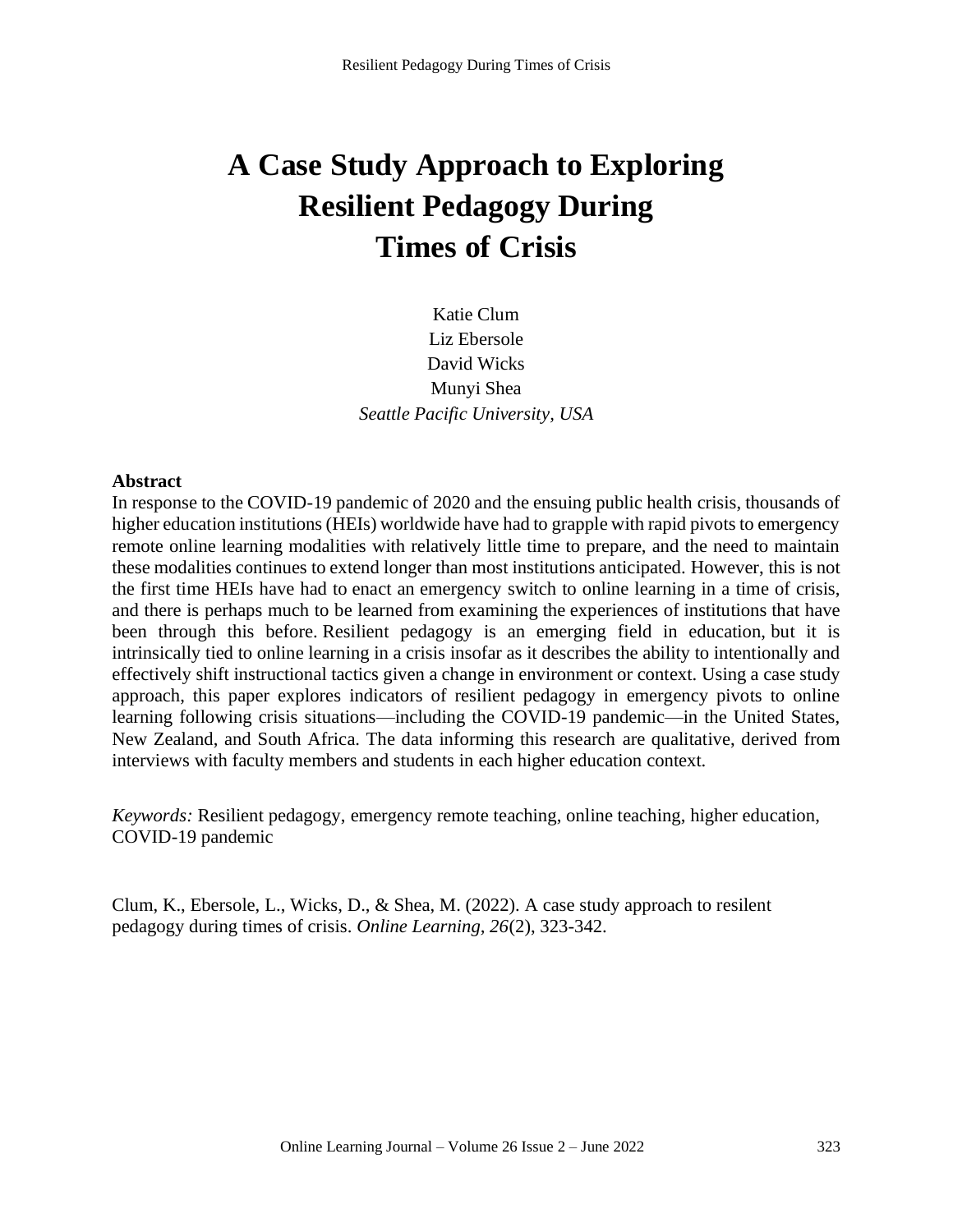# **A Case Study Approach to Exploring Resilient Pedagogy During Times of Crisis**

Katie Clum Liz Ebersole David Wicks Munyi Shea *Seattle Pacific University, USA*

#### **Abstract**

In response to the COVID-19 pandemic of 2020 and the ensuing public health crisis, thousands of higher education institutions (HEIs) worldwide have had to grapple with rapid pivots to emergency remote online learning modalities with relatively little time to prepare, and the need to maintain these modalities continues to extend longer than most institutions anticipated. However, this is not the first time HEIs have had to enact an emergency switch to online learning in a time of crisis, and there is perhaps much to be learned from examining the experiences of institutions that have been through this before. Resilient pedagogy is an emerging field in education, but it is intrinsically tied to online learning in a crisis insofar as it describes the ability to intentionally and effectively shift instructional tactics given a change in environment or context. Using a case study approach, this paper explores indicators of resilient pedagogy in emergency pivots to online learning following crisis situations—including the COVID-19 pandemic—in the United States, New Zealand, and South Africa. The data informing this research are qualitative, derived from interviews with faculty members and students in each higher education context.

*Keywords:* Resilient pedagogy, emergency remote teaching, online teaching, higher education, COVID-19 pandemic

Clum, K., Ebersole, L., Wicks, D., & Shea, M. (2022). A case study approach to resilent pedagogy during times of crisis. *Online Learning, 26*(2), 323-342.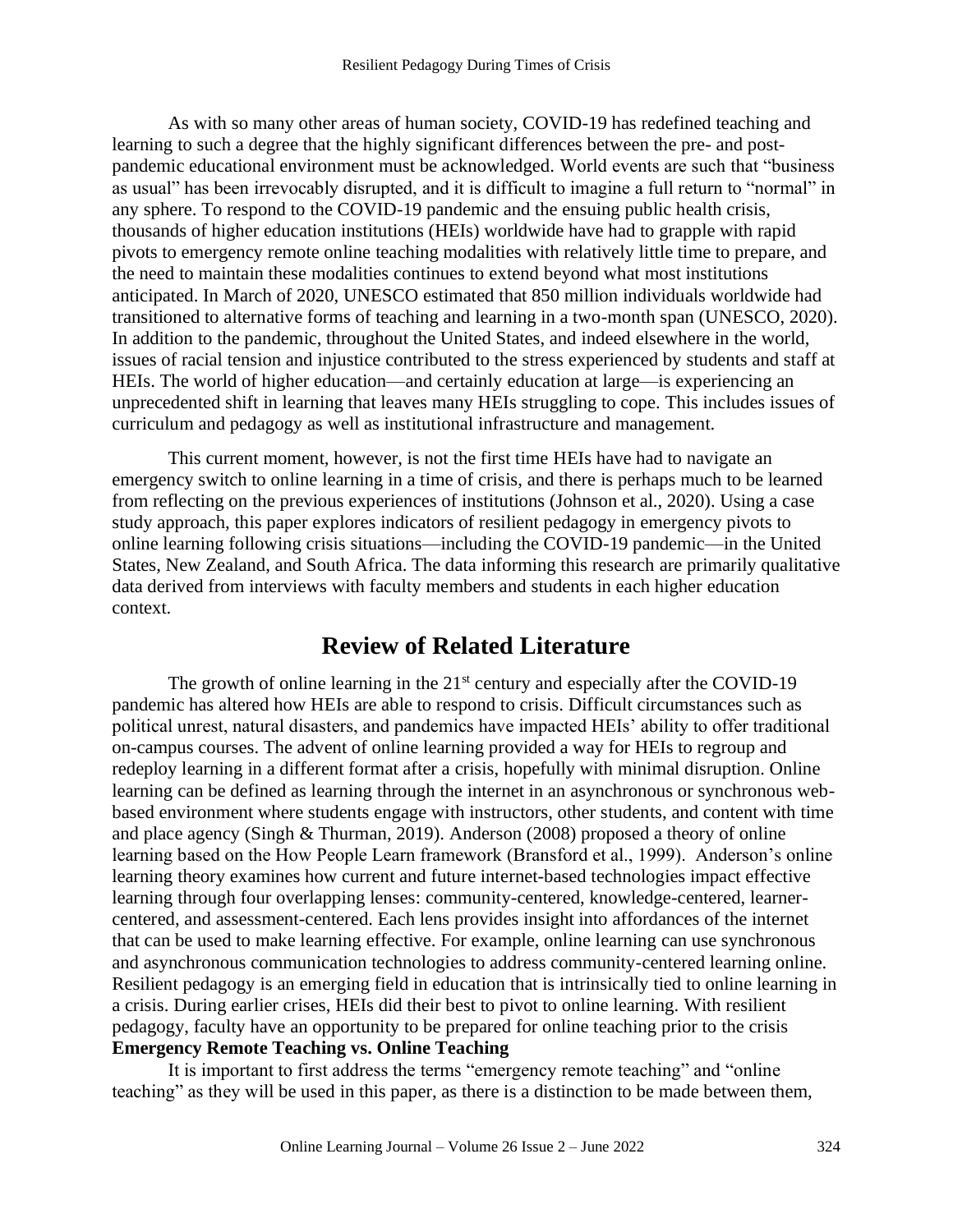As with so many other areas of human society, COVID-19 has redefined teaching and learning to such a degree that the highly significant differences between the pre- and postpandemic educational environment must be acknowledged. World events are such that "business as usual" has been irrevocably disrupted, and it is difficult to imagine a full return to "normal" in any sphere. To respond to the COVID-19 pandemic and the ensuing public health crisis, thousands of higher education institutions (HEIs) worldwide have had to grapple with rapid pivots to emergency remote online teaching modalities with relatively little time to prepare, and the need to maintain these modalities continues to extend beyond what most institutions anticipated. In March of 2020, UNESCO estimated that 850 million individuals worldwide had transitioned to alternative forms of teaching and learning in a two-month span (UNESCO, 2020). In addition to the pandemic, throughout the United States, and indeed elsewhere in the world, issues of racial tension and injustice contributed to the stress experienced by students and staff at HEIs. The world of higher education—and certainly education at large—is experiencing an unprecedented shift in learning that leaves many HEIs struggling to cope. This includes issues of curriculum and pedagogy as well as institutional infrastructure and management.

This current moment, however, is not the first time HEIs have had to navigate an emergency switch to online learning in a time of crisis, and there is perhaps much to be learned from reflecting on the previous experiences of institutions (Johnson et al., 2020). Using a case study approach, this paper explores indicators of resilient pedagogy in emergency pivots to online learning following crisis situations—including the COVID-19 pandemic—in the United States, New Zealand, and South Africa. The data informing this research are primarily qualitative data derived from interviews with faculty members and students in each higher education context.

# **Review of Related Literature**

The growth of online learning in the  $21<sup>st</sup>$  century and especially after the COVID-19 pandemic has altered how HEIs are able to respond to crisis. Difficult circumstances such as political unrest, natural disasters, and pandemics have impacted HEIs' ability to offer traditional on-campus courses. The advent of online learning provided a way for HEIs to regroup and redeploy learning in a different format after a crisis, hopefully with minimal disruption. Online learning can be defined as learning through the internet in an asynchronous or synchronous webbased environment where students engage with instructors, other students, and content with time and place agency (Singh & Thurman, 2019). Anderson (2008) proposed a theory of online learning based on the How People Learn framework (Bransford et al., 1999). Anderson's online learning theory examines how current and future internet-based technologies impact effective learning through four overlapping lenses: community-centered, knowledge-centered, learnercentered, and assessment-centered. Each lens provides insight into affordances of the internet that can be used to make learning effective. For example, online learning can use synchronous and asynchronous communication technologies to address community-centered learning online. Resilient pedagogy is an emerging field in education that is intrinsically tied to online learning in a crisis. During earlier crises, HEIs did their best to pivot to online learning. With resilient pedagogy, faculty have an opportunity to be prepared for online teaching prior to the crisis **Emergency Remote Teaching vs. Online Teaching**

It is important to first address the terms "emergency remote teaching" and "online teaching" as they will be used in this paper, as there is a distinction to be made between them,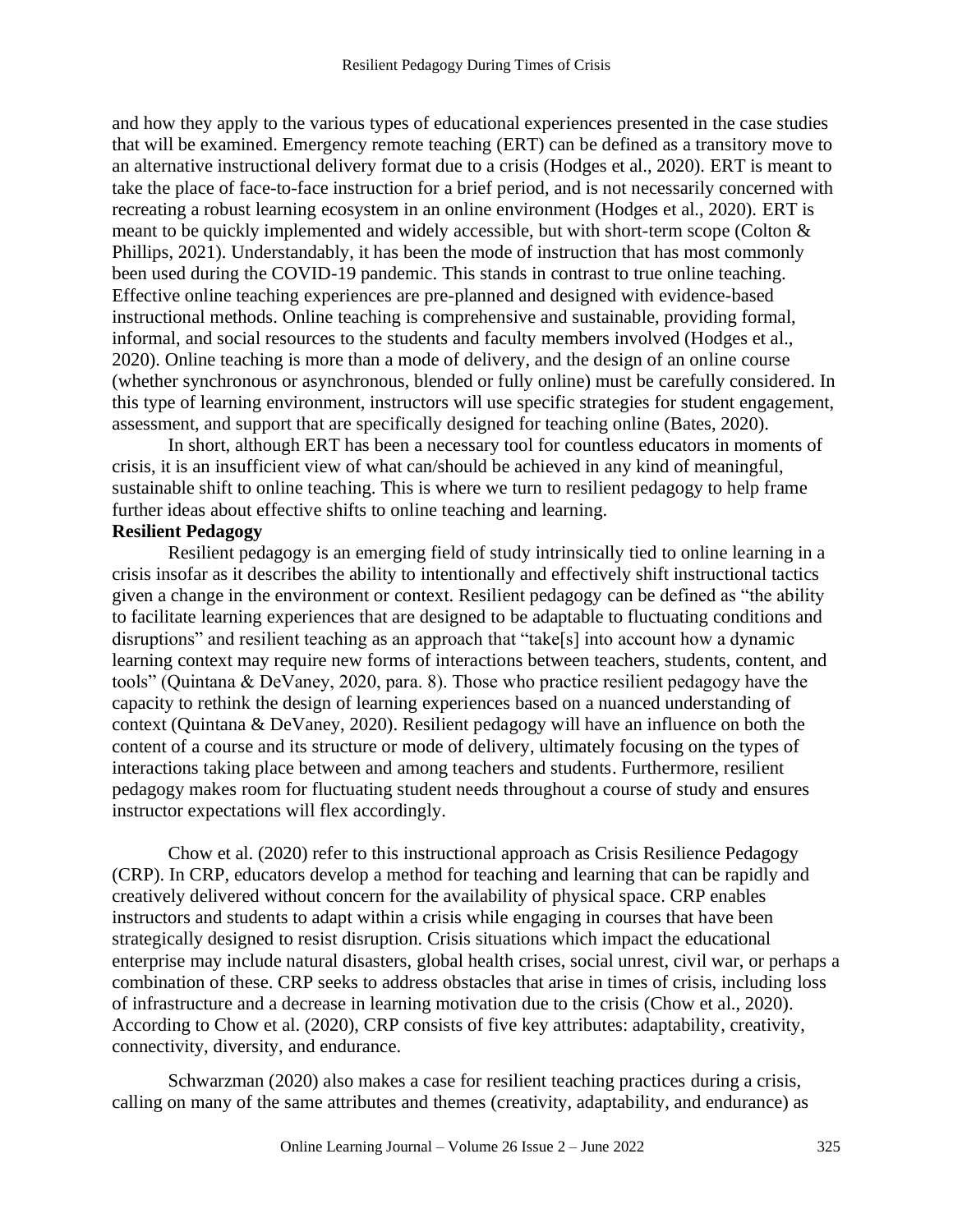and how they apply to the various types of educational experiences presented in the case studies that will be examined. Emergency remote teaching (ERT) can be defined as a transitory move to an alternative instructional delivery format due to a crisis (Hodges et al., 2020). ERT is meant to take the place of face-to-face instruction for a brief period, and is not necessarily concerned with recreating a robust learning ecosystem in an online environment (Hodges et al., 2020). ERT is meant to be quickly implemented and widely accessible, but with short-term scope (Colton & Phillips, 2021). Understandably, it has been the mode of instruction that has most commonly been used during the COVID-19 pandemic. This stands in contrast to true online teaching. Effective online teaching experiences are pre-planned and designed with evidence-based instructional methods. Online teaching is comprehensive and sustainable, providing formal, informal, and social resources to the students and faculty members involved (Hodges et al., 2020). Online teaching is more than a mode of delivery, and the design of an online course (whether synchronous or asynchronous, blended or fully online) must be carefully considered. In this type of learning environment, instructors will use specific strategies for student engagement, assessment, and support that are specifically designed for teaching online (Bates, 2020).

In short, although ERT has been a necessary tool for countless educators in moments of crisis, it is an insufficient view of what can/should be achieved in any kind of meaningful, sustainable shift to online teaching. This is where we turn to resilient pedagogy to help frame further ideas about effective shifts to online teaching and learning.

#### **Resilient Pedagogy**

Resilient pedagogy is an emerging field of study intrinsically tied to online learning in a crisis insofar as it describes the ability to intentionally and effectively shift instructional tactics given a change in the environment or context. Resilient pedagogy can be defined as "the ability to facilitate learning experiences that are designed to be adaptable to fluctuating conditions and disruptions" and resilient teaching as an approach that "take[s] into account how a dynamic learning context may require new forms of interactions between teachers, students, content, and tools" (Quintana & DeVaney, 2020, para. 8). Those who practice resilient pedagogy have the capacity to rethink the design of learning experiences based on a nuanced understanding of context (Quintana & DeVaney, 2020). Resilient pedagogy will have an influence on both the content of a course and its structure or mode of delivery, ultimately focusing on the types of interactions taking place between and among teachers and students. Furthermore, resilient pedagogy makes room for fluctuating student needs throughout a course of study and ensures instructor expectations will flex accordingly.

Chow et al. (2020) refer to this instructional approach as Crisis Resilience Pedagogy (CRP). In CRP, educators develop a method for teaching and learning that can be rapidly and creatively delivered without concern for the availability of physical space. CRP enables instructors and students to adapt within a crisis while engaging in courses that have been strategically designed to resist disruption. Crisis situations which impact the educational enterprise may include natural disasters, global health crises, social unrest, civil war, or perhaps a combination of these. CRP seeks to address obstacles that arise in times of crisis, including loss of infrastructure and a decrease in learning motivation due to the crisis (Chow et al., 2020). According to Chow et al. (2020), CRP consists of five key attributes: adaptability, creativity, connectivity, diversity, and endurance.

Schwarzman (2020) also makes a case for resilient teaching practices during a crisis, calling on many of the same attributes and themes (creativity, adaptability, and endurance) as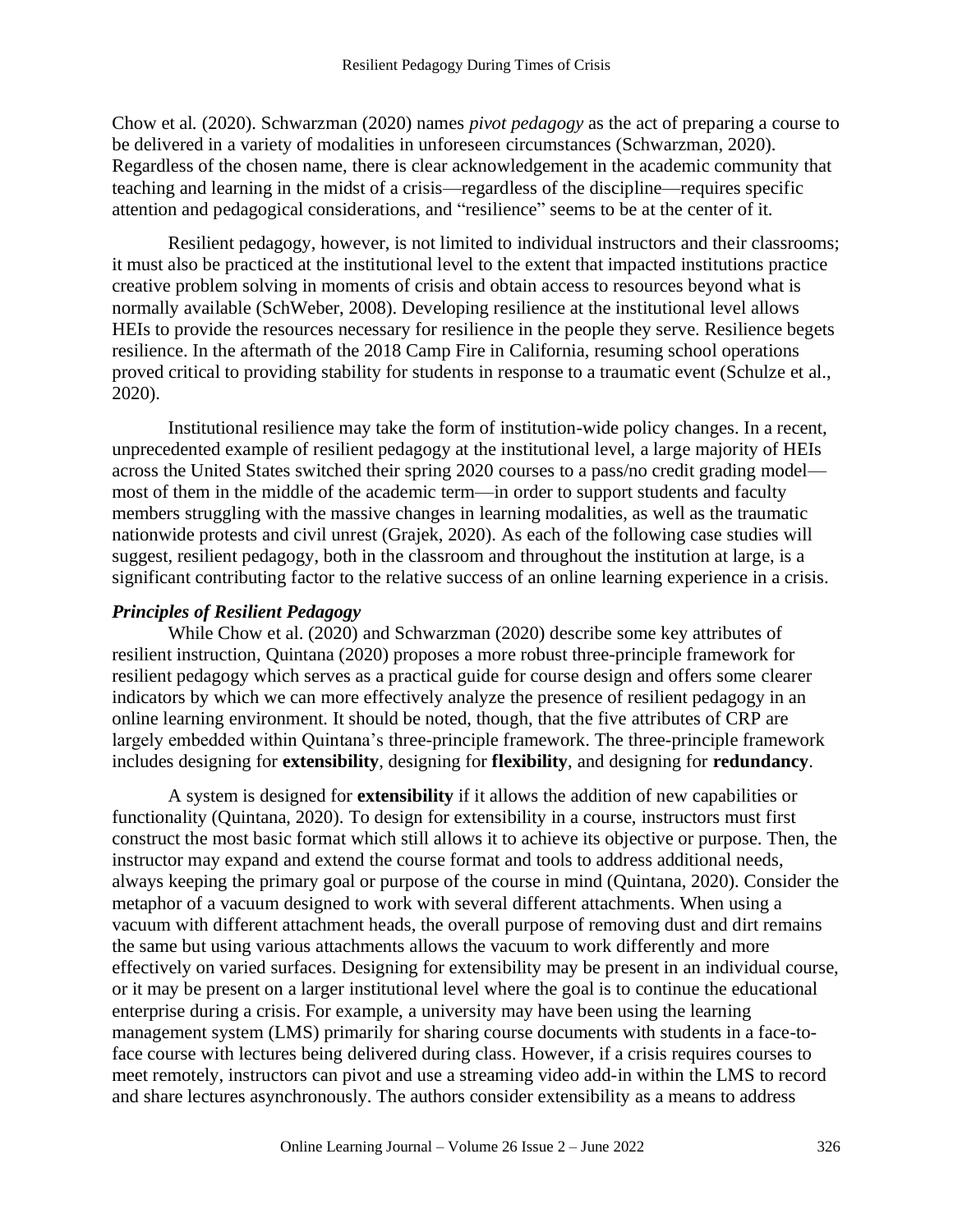Chow et al*.* (2020). Schwarzman (2020) names *pivot pedagogy* as the act of preparing a course to be delivered in a variety of modalities in unforeseen circumstances (Schwarzman, 2020). Regardless of the chosen name, there is clear acknowledgement in the academic community that teaching and learning in the midst of a crisis—regardless of the discipline—requires specific attention and pedagogical considerations, and "resilience" seems to be at the center of it.

Resilient pedagogy, however, is not limited to individual instructors and their classrooms; it must also be practiced at the institutional level to the extent that impacted institutions practice creative problem solving in moments of crisis and obtain access to resources beyond what is normally available (SchWeber, 2008). Developing resilience at the institutional level allows HEIs to provide the resources necessary for resilience in the people they serve. Resilience begets resilience. In the aftermath of the 2018 Camp Fire in California, resuming school operations proved critical to providing stability for students in response to a traumatic event (Schulze et al., 2020).

Institutional resilience may take the form of institution-wide policy changes. In a recent, unprecedented example of resilient pedagogy at the institutional level, a large majority of HEIs across the United States switched their spring 2020 courses to a pass/no credit grading model most of them in the middle of the academic term—in order to support students and faculty members struggling with the massive changes in learning modalities, as well as the traumatic nationwide protests and civil unrest (Grajek, 2020). As each of the following case studies will suggest, resilient pedagogy, both in the classroom and throughout the institution at large, is a significant contributing factor to the relative success of an online learning experience in a crisis.

#### *Principles of Resilient Pedagogy*

While Chow et al. (2020) and Schwarzman (2020) describe some key attributes of resilient instruction, Quintana (2020) proposes a more robust three-principle framework for resilient pedagogy which serves as a practical guide for course design and offers some clearer indicators by which we can more effectively analyze the presence of resilient pedagogy in an online learning environment. It should be noted, though, that the five attributes of CRP are largely embedded within Quintana's three-principle framework. The three-principle framework includes designing for **extensibility**, designing for **flexibility**, and designing for **redundancy**.

A system is designed for **extensibility** if it allows the addition of new capabilities or functionality (Quintana, 2020). To design for extensibility in a course, instructors must first construct the most basic format which still allows it to achieve its objective or purpose. Then, the instructor may expand and extend the course format and tools to address additional needs, always keeping the primary goal or purpose of the course in mind (Quintana, 2020). Consider the metaphor of a vacuum designed to work with several different attachments. When using a vacuum with different attachment heads, the overall purpose of removing dust and dirt remains the same but using various attachments allows the vacuum to work differently and more effectively on varied surfaces. Designing for extensibility may be present in an individual course, or it may be present on a larger institutional level where the goal is to continue the educational enterprise during a crisis. For example, a university may have been using the learning management system (LMS) primarily for sharing course documents with students in a face-toface course with lectures being delivered during class. However, if a crisis requires courses to meet remotely, instructors can pivot and use a streaming video add-in within the LMS to record and share lectures asynchronously. The authors consider extensibility as a means to address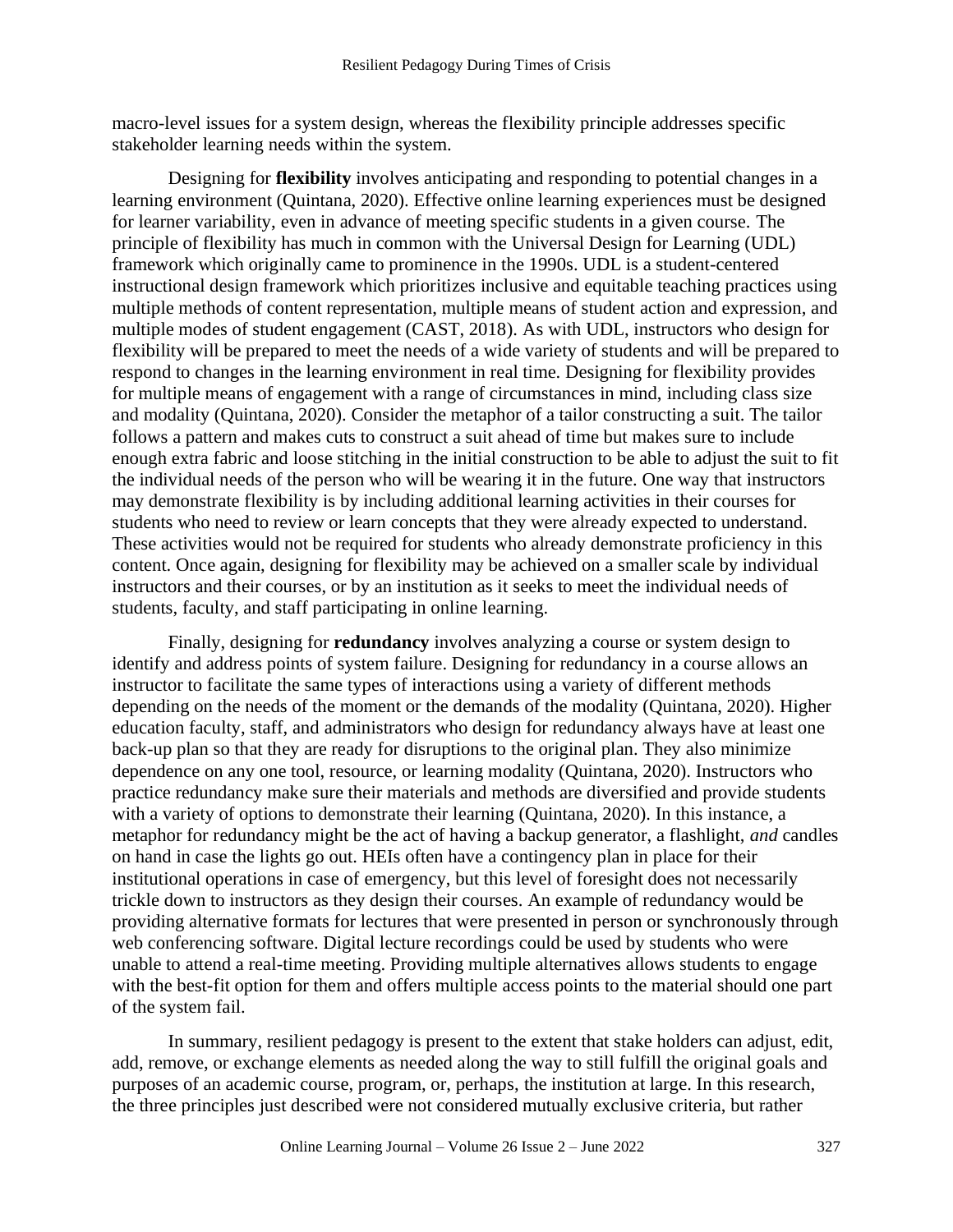macro-level issues for a system design, whereas the flexibility principle addresses specific stakeholder learning needs within the system.

Designing for **flexibility** involves anticipating and responding to potential changes in a learning environment (Quintana, 2020). Effective online learning experiences must be designed for learner variability, even in advance of meeting specific students in a given course. The principle of flexibility has much in common with the Universal Design for Learning (UDL) framework which originally came to prominence in the 1990s. UDL is a student-centered instructional design framework which prioritizes inclusive and equitable teaching practices using multiple methods of content representation, multiple means of student action and expression, and multiple modes of student engagement (CAST, 2018). As with UDL, instructors who design for flexibility will be prepared to meet the needs of a wide variety of students and will be prepared to respond to changes in the learning environment in real time. Designing for flexibility provides for multiple means of engagement with a range of circumstances in mind, including class size and modality (Quintana, 2020). Consider the metaphor of a tailor constructing a suit. The tailor follows a pattern and makes cuts to construct a suit ahead of time but makes sure to include enough extra fabric and loose stitching in the initial construction to be able to adjust the suit to fit the individual needs of the person who will be wearing it in the future. One way that instructors may demonstrate flexibility is by including additional learning activities in their courses for students who need to review or learn concepts that they were already expected to understand. These activities would not be required for students who already demonstrate proficiency in this content. Once again, designing for flexibility may be achieved on a smaller scale by individual instructors and their courses, or by an institution as it seeks to meet the individual needs of students, faculty, and staff participating in online learning.

Finally, designing for **redundancy** involves analyzing a course or system design to identify and address points of system failure. Designing for redundancy in a course allows an instructor to facilitate the same types of interactions using a variety of different methods depending on the needs of the moment or the demands of the modality (Quintana, 2020). Higher education faculty, staff, and administrators who design for redundancy always have at least one back-up plan so that they are ready for disruptions to the original plan. They also minimize dependence on any one tool, resource, or learning modality (Quintana, 2020). Instructors who practice redundancy make sure their materials and methods are diversified and provide students with a variety of options to demonstrate their learning (Quintana, 2020). In this instance, a metaphor for redundancy might be the act of having a backup generator, a flashlight, *and* candles on hand in case the lights go out. HEIs often have a contingency plan in place for their institutional operations in case of emergency, but this level of foresight does not necessarily trickle down to instructors as they design their courses. An example of redundancy would be providing alternative formats for lectures that were presented in person or synchronously through web conferencing software. Digital lecture recordings could be used by students who were unable to attend a real-time meeting. Providing multiple alternatives allows students to engage with the best-fit option for them and offers multiple access points to the material should one part of the system fail.

In summary, resilient pedagogy is present to the extent that stake holders can adjust, edit, add, remove, or exchange elements as needed along the way to still fulfill the original goals and purposes of an academic course, program, or, perhaps, the institution at large. In this research, the three principles just described were not considered mutually exclusive criteria, but rather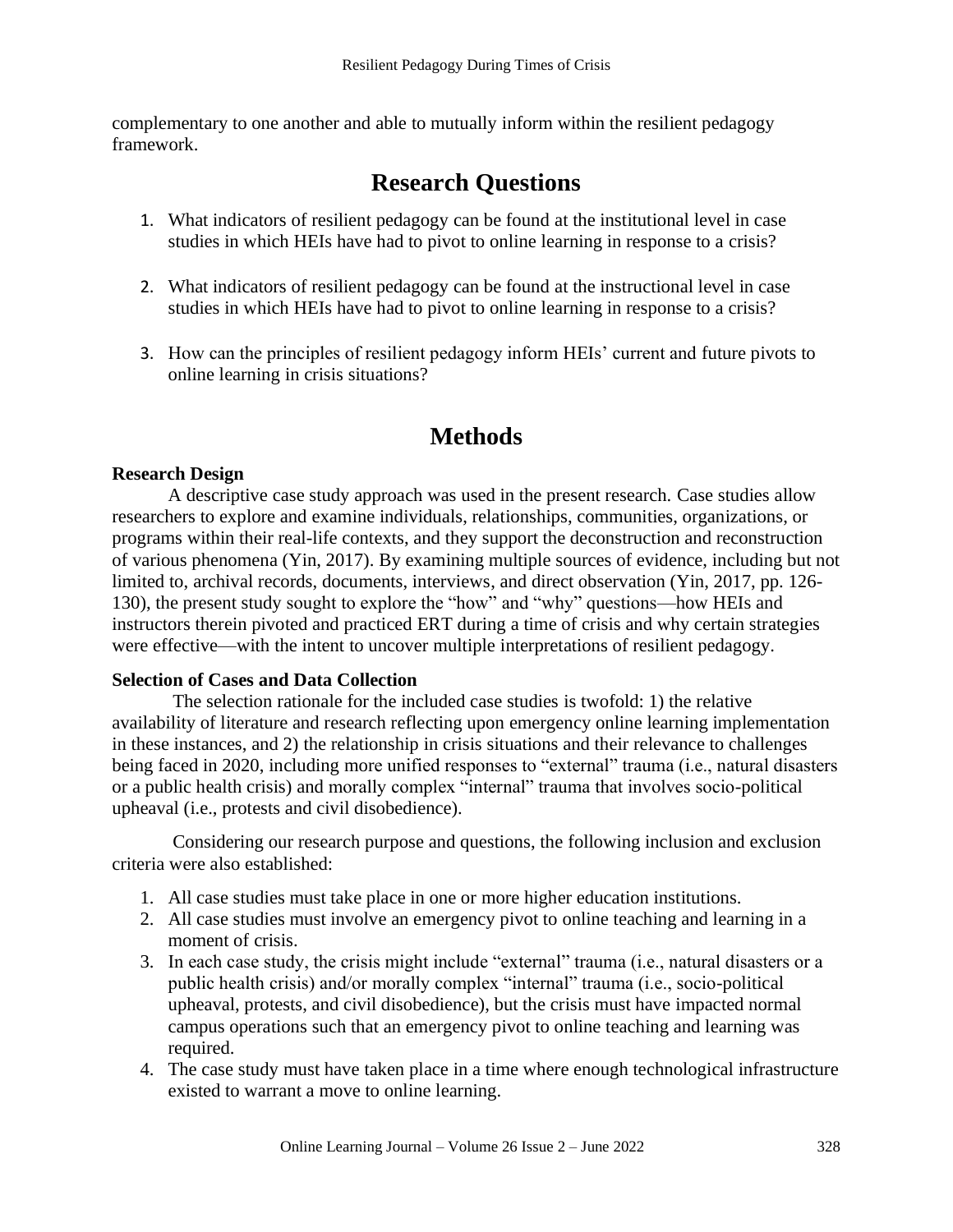complementary to one another and able to mutually inform within the resilient pedagogy framework.

# **Research Questions**

- 1. What indicators of resilient pedagogy can be found at the institutional level in case studies in which HEIs have had to pivot to online learning in response to a crisis?
- 2. What indicators of resilient pedagogy can be found at the instructional level in case studies in which HEIs have had to pivot to online learning in response to a crisis?
- 3. How can the principles of resilient pedagogy inform HEIs' current and future pivots to online learning in crisis situations?

# **Methods**

#### **Research Design**

A descriptive case study approach was used in the present research. Case studies allow researchers to explore and examine individuals, relationships, communities, organizations, or programs within their real-life contexts, and they support the deconstruction and reconstruction of various phenomena (Yin, 2017). By examining multiple sources of evidence, including but not limited to, archival records, documents, interviews, and direct observation (Yin, 2017, pp. 126- 130), the present study sought to explore the "how" and "why" questions—how HEIs and instructors therein pivoted and practiced ERT during a time of crisis and why certain strategies were effective—with the intent to uncover multiple interpretations of resilient pedagogy.

#### **Selection of Cases and Data Collection**

The selection rationale for the included case studies is twofold: 1) the relative availability of literature and research reflecting upon emergency online learning implementation in these instances, and 2) the relationship in crisis situations and their relevance to challenges being faced in 2020, including more unified responses to "external" trauma (i.e., natural disasters or a public health crisis) and morally complex "internal" trauma that involves socio-political upheaval (i.e., protests and civil disobedience).

Considering our research purpose and questions, the following inclusion and exclusion criteria were also established:

- 1. All case studies must take place in one or more higher education institutions.
- 2. All case studies must involve an emergency pivot to online teaching and learning in a moment of crisis.
- 3. In each case study, the crisis might include "external" trauma (i.e., natural disasters or a public health crisis) and/or morally complex "internal" trauma (i.e., socio-political upheaval, protests, and civil disobedience), but the crisis must have impacted normal campus operations such that an emergency pivot to online teaching and learning was required.
- 4. The case study must have taken place in a time where enough technological infrastructure existed to warrant a move to online learning.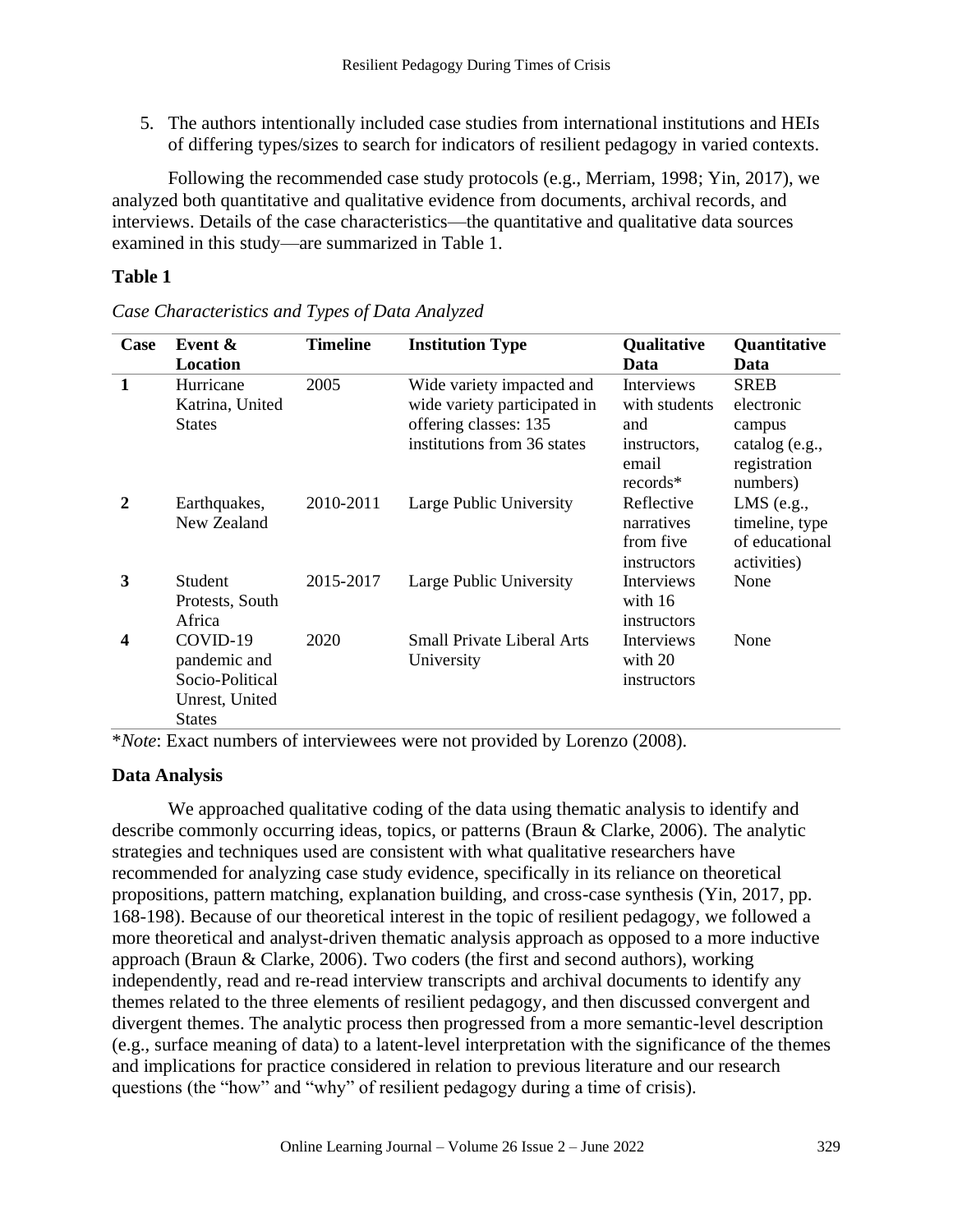5. The authors intentionally included case studies from international institutions and HEIs of differing types/sizes to search for indicators of resilient pedagogy in varied contexts.

 Following the recommended case study protocols (e.g., Merriam, 1998; Yin, 2017), we analyzed both quantitative and qualitative evidence from documents, archival records, and interviews. Details of the case characteristics—the quantitative and qualitative data sources examined in this study—are summarized in Table 1.

#### **Table 1**

| Case                    | Event &<br><b>Location</b>                                                     | <b>Timeline</b> | <b>Institution Type</b>                               | Qualitative<br>Data                                  | Quantitative<br>Data                                            |
|-------------------------|--------------------------------------------------------------------------------|-----------------|-------------------------------------------------------|------------------------------------------------------|-----------------------------------------------------------------|
| $\mathbf{1}$            | Hurricane                                                                      | 2005            | Wide variety impacted and                             | <b>Interviews</b>                                    | <b>SREB</b>                                                     |
|                         | Katrina, United<br><b>States</b>                                               |                 | wide variety participated in<br>offering classes: 135 | with students<br>and                                 | electronic<br>campus                                            |
|                         |                                                                                |                 | institutions from 36 states                           | instructors,<br>email<br>$records*$                  | catalog (e.g.,<br>registration<br>numbers)                      |
| $\mathbf{2}$            | Earthquakes,<br>New Zealand                                                    | 2010-2011       | Large Public University                               | Reflective<br>narratives<br>from five<br>instructors | LMS $(e.g.,$<br>timeline, type<br>of educational<br>activities) |
| 3                       | Student<br>Protests, South<br>Africa                                           | 2015-2017       | Large Public University                               | Interviews<br>with $16$<br>instructors               | None                                                            |
| $\overline{\mathbf{4}}$ | COVID-19<br>pandemic and<br>Socio-Political<br>Unrest, United<br><b>States</b> | 2020            | <b>Small Private Liberal Arts</b><br>University       | Interviews<br>with 20<br>instructors                 | None                                                            |

*Case Characteristics and Types of Data Analyzed*

\**Note*: Exact numbers of interviewees were not provided by Lorenzo (2008).

#### **Data Analysis**

We approached qualitative coding of the data using thematic analysis to identify and describe commonly occurring ideas, topics, or patterns (Braun & Clarke, 2006). The analytic strategies and techniques used are consistent with what qualitative researchers have recommended for analyzing case study evidence, specifically in its reliance on theoretical propositions, pattern matching, explanation building, and cross-case synthesis (Yin, 2017, pp. 168-198). Because of our theoretical interest in the topic of resilient pedagogy, we followed a more theoretical and analyst-driven thematic analysis approach as opposed to a more inductive approach (Braun & Clarke, 2006). Two coders (the first and second authors), working independently, read and re-read interview transcripts and archival documents to identify any themes related to the three elements of resilient pedagogy, and then discussed convergent and divergent themes. The analytic process then progressed from a more semantic-level description (e.g., surface meaning of data) to a latent-level interpretation with the significance of the themes and implications for practice considered in relation to previous literature and our research questions (the "how" and "why" of resilient pedagogy during a time of crisis).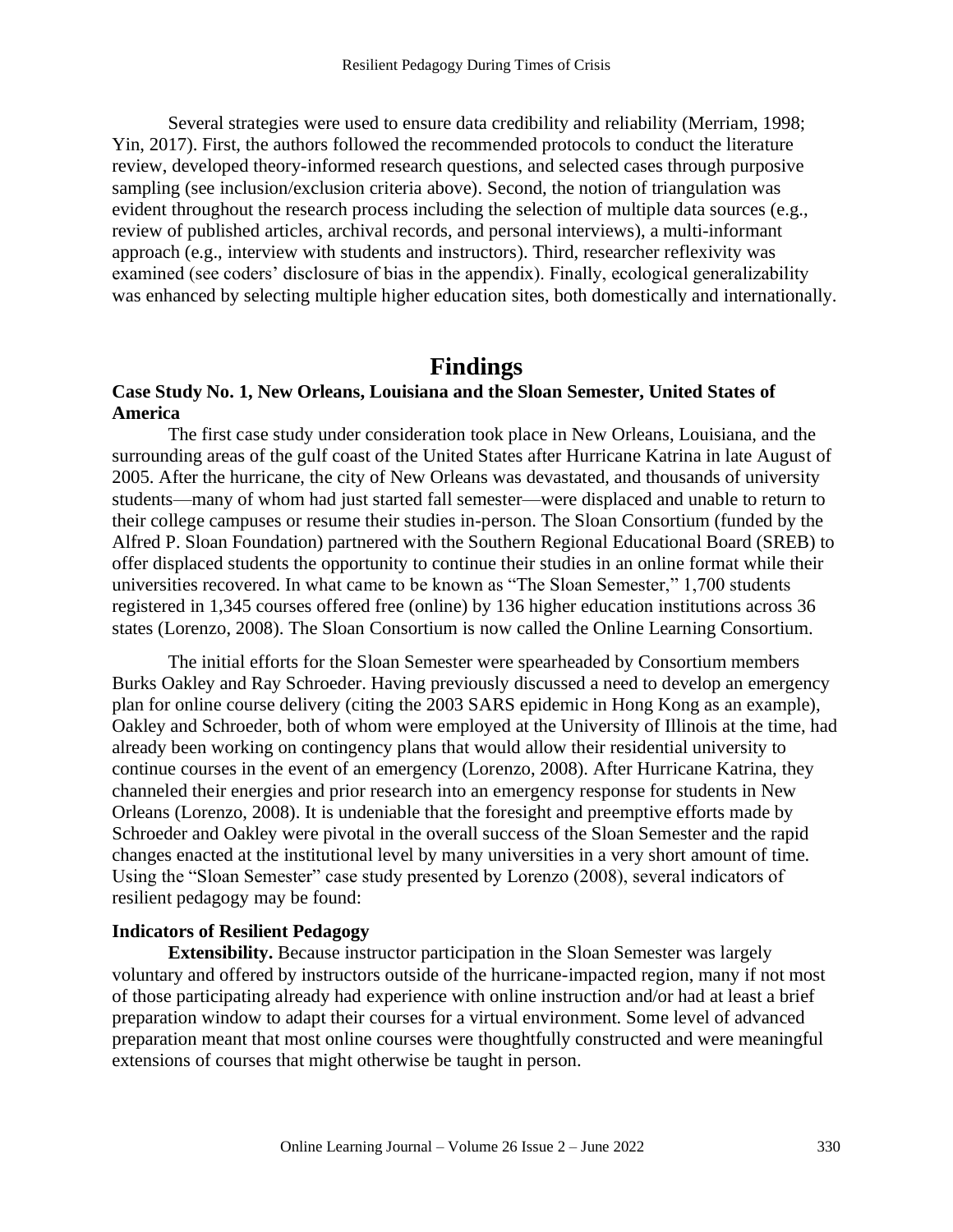Several strategies were used to ensure data credibility and reliability (Merriam, 1998; Yin, 2017). First, the authors followed the recommended protocols to conduct the literature review, developed theory-informed research questions, and selected cases through purposive sampling (see inclusion/exclusion criteria above). Second, the notion of triangulation was evident throughout the research process including the selection of multiple data sources (e.g., review of published articles, archival records, and personal interviews), a multi-informant approach (e.g., interview with students and instructors). Third, researcher reflexivity was examined (see coders' disclosure of bias in the appendix). Finally, ecological generalizability was enhanced by selecting multiple higher education sites, both domestically and internationally.

## **Findings**

#### **Case Study No. 1, New Orleans, Louisiana and the Sloan Semester, United States of America**

The first case study under consideration took place in New Orleans, Louisiana, and the surrounding areas of the gulf coast of the United States after Hurricane Katrina in late August of 2005. After the hurricane, the city of New Orleans was devastated, and thousands of university students—many of whom had just started fall semester—were displaced and unable to return to their college campuses or resume their studies in-person. The Sloan Consortium (funded by the Alfred P. Sloan Foundation) partnered with the Southern Regional Educational Board (SREB) to offer displaced students the opportunity to continue their studies in an online format while their universities recovered. In what came to be known as "The Sloan Semester," 1,700 students registered in 1,345 courses offered free (online) by 136 higher education institutions across 36 states (Lorenzo, 2008). The Sloan Consortium is now called the Online Learning Consortium.

The initial efforts for the Sloan Semester were spearheaded by Consortium members Burks Oakley and Ray Schroeder. Having previously discussed a need to develop an emergency plan for online course delivery (citing the 2003 SARS epidemic in Hong Kong as an example), Oakley and Schroeder, both of whom were employed at the University of Illinois at the time, had already been working on contingency plans that would allow their residential university to continue courses in the event of an emergency (Lorenzo, 2008). After Hurricane Katrina, they channeled their energies and prior research into an emergency response for students in New Orleans (Lorenzo, 2008). It is undeniable that the foresight and preemptive efforts made by Schroeder and Oakley were pivotal in the overall success of the Sloan Semester and the rapid changes enacted at the institutional level by many universities in a very short amount of time. Using the "Sloan Semester" case study presented by Lorenzo (2008), several indicators of resilient pedagogy may be found:

#### **Indicators of Resilient Pedagogy**

**Extensibility.** Because instructor participation in the Sloan Semester was largely voluntary and offered by instructors outside of the hurricane-impacted region, many if not most of those participating already had experience with online instruction and/or had at least a brief preparation window to adapt their courses for a virtual environment. Some level of advanced preparation meant that most online courses were thoughtfully constructed and were meaningful extensions of courses that might otherwise be taught in person.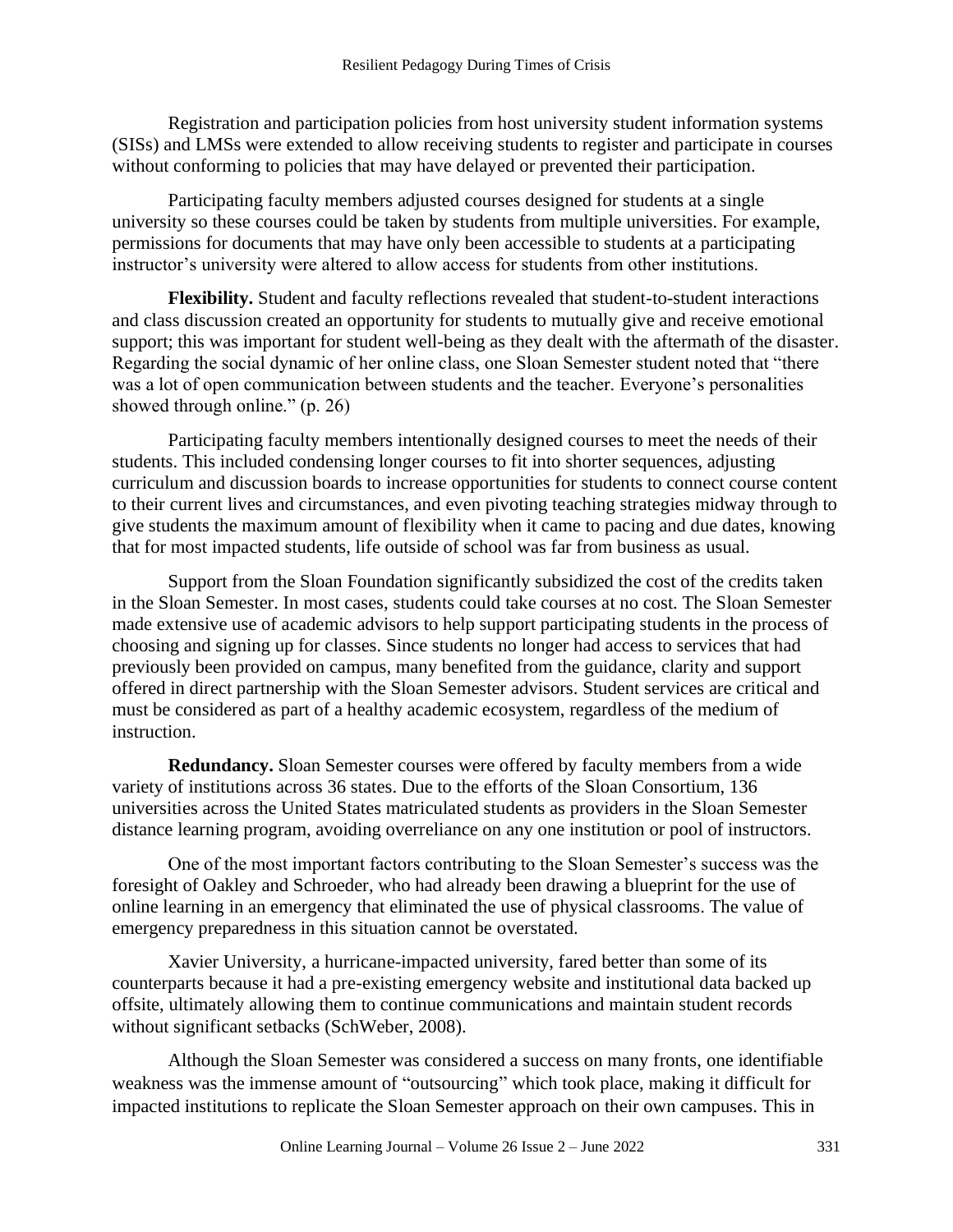Registration and participation policies from host university student information systems (SISs) and LMSs were extended to allow receiving students to register and participate in courses without conforming to policies that may have delayed or prevented their participation.

Participating faculty members adjusted courses designed for students at a single university so these courses could be taken by students from multiple universities. For example, permissions for documents that may have only been accessible to students at a participating instructor's university were altered to allow access for students from other institutions.

**Flexibility.** Student and faculty reflections revealed that student-to-student interactions and class discussion created an opportunity for students to mutually give and receive emotional support; this was important for student well-being as they dealt with the aftermath of the disaster. Regarding the social dynamic of her online class, one Sloan Semester student noted that "there was a lot of open communication between students and the teacher. Everyone's personalities showed through online." (p. 26)

Participating faculty members intentionally designed courses to meet the needs of their students. This included condensing longer courses to fit into shorter sequences, adjusting curriculum and discussion boards to increase opportunities for students to connect course content to their current lives and circumstances, and even pivoting teaching strategies midway through to give students the maximum amount of flexibility when it came to pacing and due dates, knowing that for most impacted students, life outside of school was far from business as usual.

Support from the Sloan Foundation significantly subsidized the cost of the credits taken in the Sloan Semester. In most cases, students could take courses at no cost. The Sloan Semester made extensive use of academic advisors to help support participating students in the process of choosing and signing up for classes. Since students no longer had access to services that had previously been provided on campus, many benefited from the guidance, clarity and support offered in direct partnership with the Sloan Semester advisors. Student services are critical and must be considered as part of a healthy academic ecosystem, regardless of the medium of instruction.

**Redundancy.** Sloan Semester courses were offered by faculty members from a wide variety of institutions across 36 states. Due to the efforts of the Sloan Consortium, 136 universities across the United States matriculated students as providers in the Sloan Semester distance learning program, avoiding overreliance on any one institution or pool of instructors.

One of the most important factors contributing to the Sloan Semester's success was the foresight of Oakley and Schroeder, who had already been drawing a blueprint for the use of online learning in an emergency that eliminated the use of physical classrooms. The value of emergency preparedness in this situation cannot be overstated.

Xavier University, a hurricane-impacted university, fared better than some of its counterparts because it had a pre-existing emergency website and institutional data backed up offsite, ultimately allowing them to continue communications and maintain student records without significant setbacks (SchWeber, 2008).

Although the Sloan Semester was considered a success on many fronts, one identifiable weakness was the immense amount of "outsourcing" which took place, making it difficult for impacted institutions to replicate the Sloan Semester approach on their own campuses. This in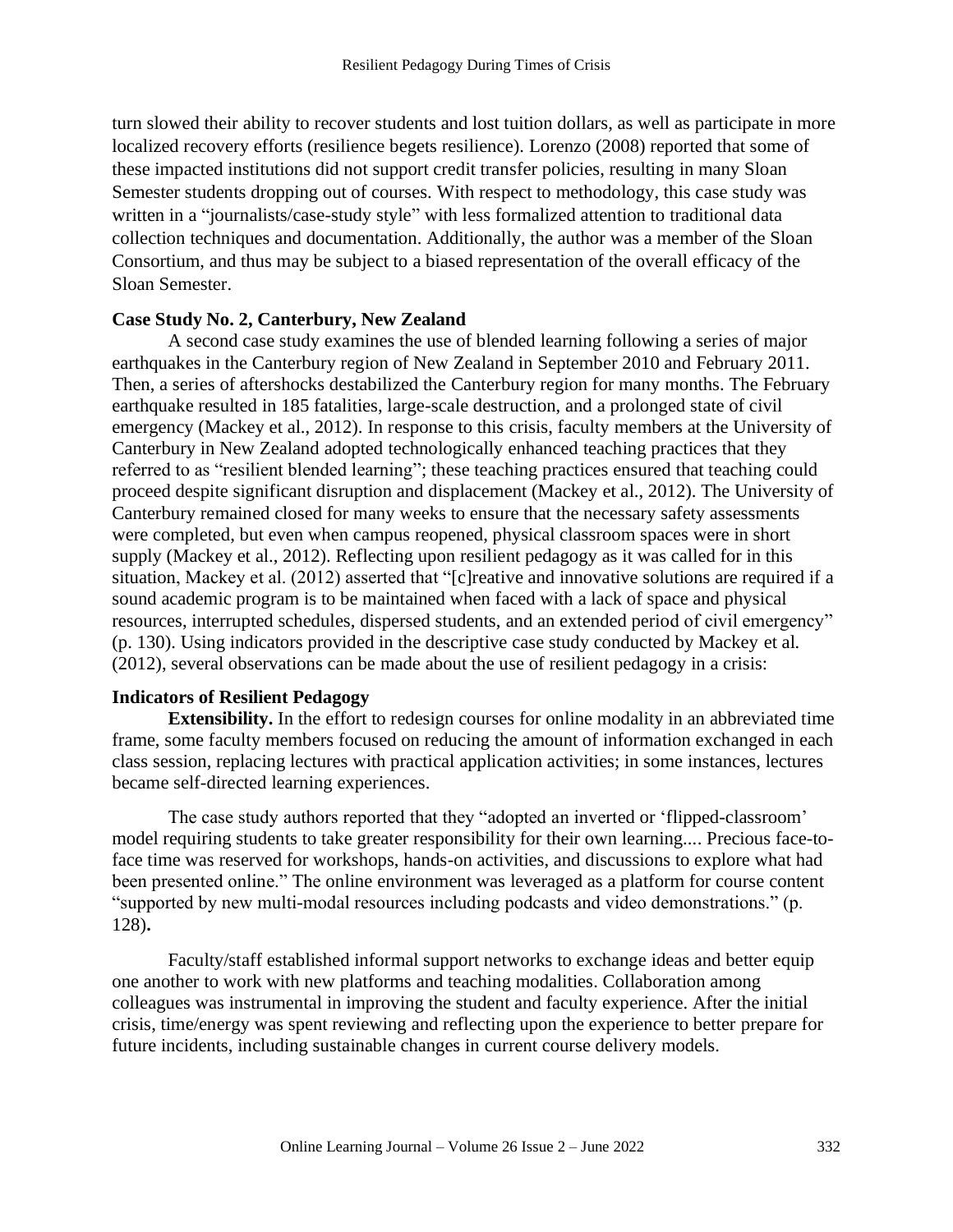turn slowed their ability to recover students and lost tuition dollars, as well as participate in more localized recovery efforts (resilience begets resilience). Lorenzo (2008) reported that some of these impacted institutions did not support credit transfer policies, resulting in many Sloan Semester students dropping out of courses. With respect to methodology, this case study was written in a "journalists/case-study style" with less formalized attention to traditional data collection techniques and documentation. Additionally, the author was a member of the Sloan Consortium, and thus may be subject to a biased representation of the overall efficacy of the Sloan Semester.

#### **Case Study No. 2, Canterbury, New Zealand**

A second case study examines the use of blended learning following a series of major earthquakes in the Canterbury region of New Zealand in September 2010 and February 2011. Then, a series of aftershocks destabilized the Canterbury region for many months. The February earthquake resulted in 185 fatalities, large-scale destruction, and a prolonged state of civil emergency (Mackey et al., 2012). In response to this crisis, faculty members at the University of Canterbury in New Zealand adopted technologically enhanced teaching practices that they referred to as "resilient blended learning"; these teaching practices ensured that teaching could proceed despite significant disruption and displacement (Mackey et al., 2012). The University of Canterbury remained closed for many weeks to ensure that the necessary safety assessments were completed, but even when campus reopened, physical classroom spaces were in short supply (Mackey et al., 2012). Reflecting upon resilient pedagogy as it was called for in this situation, Mackey et al. (2012) asserted that "[c]reative and innovative solutions are required if a sound academic program is to be maintained when faced with a lack of space and physical resources, interrupted schedules, dispersed students, and an extended period of civil emergency" (p. 130). Using indicators provided in the descriptive case study conducted by Mackey et al*.* (2012), several observations can be made about the use of resilient pedagogy in a crisis:

#### **Indicators of Resilient Pedagogy**

**Extensibility.** In the effort to redesign courses for online modality in an abbreviated time frame, some faculty members focused on reducing the amount of information exchanged in each class session, replacing lectures with practical application activities; in some instances, lectures became self-directed learning experiences.

The case study authors reported that they "adopted an inverted or 'flipped-classroom' model requiring students to take greater responsibility for their own learning.... Precious face-toface time was reserved for workshops, hands-on activities, and discussions to explore what had been presented online." The online environment was leveraged as a platform for course content "supported by new multi-modal resources including podcasts and video demonstrations." (p. 128)**.**

Faculty/staff established informal support networks to exchange ideas and better equip one another to work with new platforms and teaching modalities. Collaboration among colleagues was instrumental in improving the student and faculty experience. After the initial crisis, time/energy was spent reviewing and reflecting upon the experience to better prepare for future incidents, including sustainable changes in current course delivery models.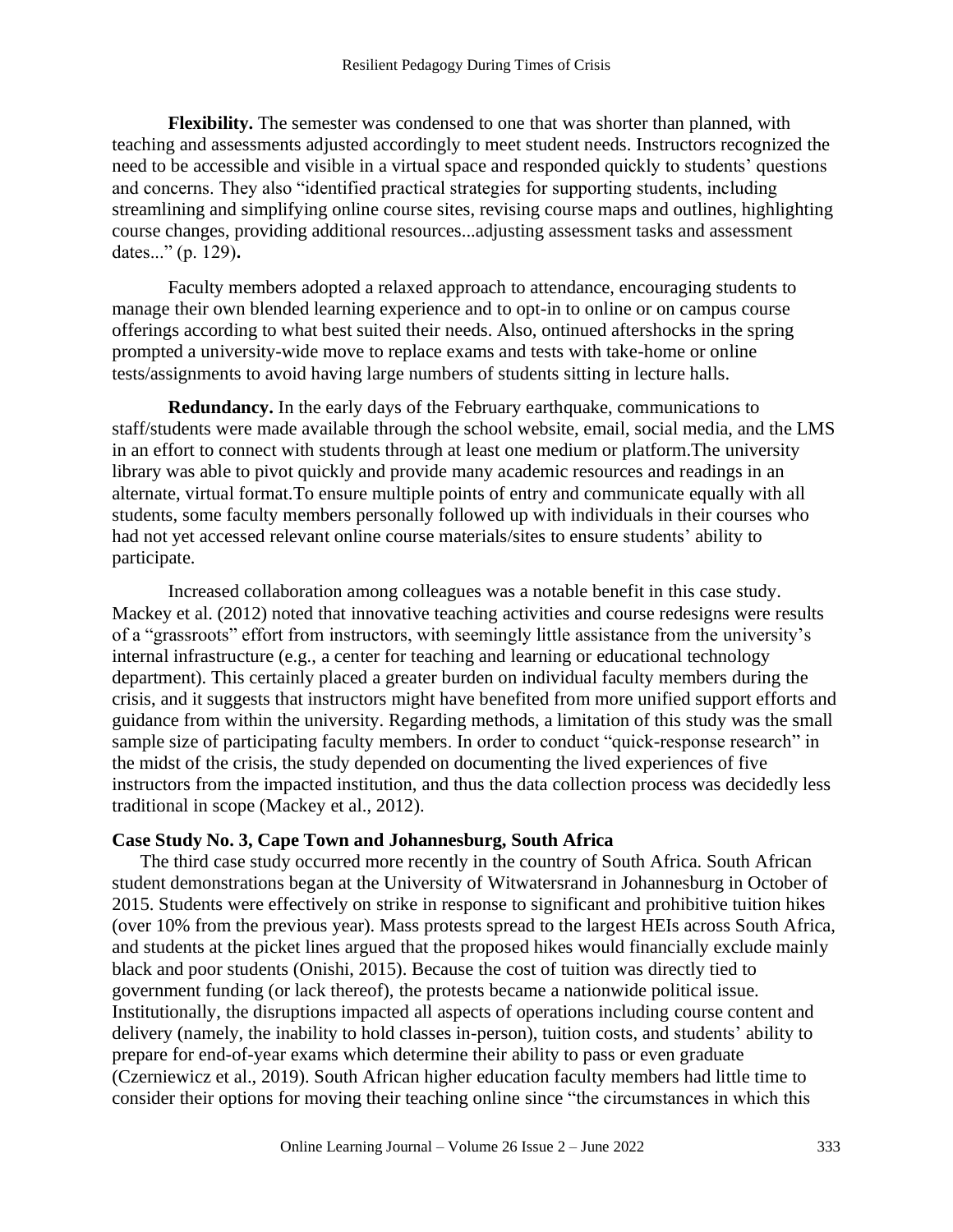**Flexibility.** The semester was condensed to one that was shorter than planned, with teaching and assessments adjusted accordingly to meet student needs. Instructors recognized the need to be accessible and visible in a virtual space and responded quickly to students' questions and concerns. They also "identified practical strategies for supporting students, including streamlining and simplifying online course sites, revising course maps and outlines, highlighting course changes, providing additional resources...adjusting assessment tasks and assessment dates..." (p. 129)**.** 

Faculty members adopted a relaxed approach to attendance, encouraging students to manage their own blended learning experience and to opt-in to online or on campus course offerings according to what best suited their needs. Also, ontinued aftershocks in the spring prompted a university-wide move to replace exams and tests with take-home or online tests/assignments to avoid having large numbers of students sitting in lecture halls.

**Redundancy.** In the early days of the February earthquake, communications to staff/students were made available through the school website, email, social media, and the LMS in an effort to connect with students through at least one medium or platform.The university library was able to pivot quickly and provide many academic resources and readings in an alternate, virtual format.To ensure multiple points of entry and communicate equally with all students, some faculty members personally followed up with individuals in their courses who had not yet accessed relevant online course materials/sites to ensure students' ability to participate.

Increased collaboration among colleagues was a notable benefit in this case study. Mackey et al. (2012) noted that innovative teaching activities and course redesigns were results of a "grassroots" effort from instructors, with seemingly little assistance from the university's internal infrastructure (e.g., a center for teaching and learning or educational technology department). This certainly placed a greater burden on individual faculty members during the crisis, and it suggests that instructors might have benefited from more unified support efforts and guidance from within the university. Regarding methods, a limitation of this study was the small sample size of participating faculty members. In order to conduct "quick-response research" in the midst of the crisis, the study depended on documenting the lived experiences of five instructors from the impacted institution, and thus the data collection process was decidedly less traditional in scope (Mackey et al., 2012).

#### **Case Study No. 3, Cape Town and Johannesburg, South Africa**

The third case study occurred more recently in the country of South Africa. South African student demonstrations began at the University of Witwatersrand in Johannesburg in October of 2015. Students were effectively on strike in response to significant and prohibitive tuition hikes (over 10% from the previous year). Mass protests spread to the largest HEIs across South Africa, and students at the picket lines argued that the proposed hikes would financially exclude mainly black and poor students (Onishi, 2015). Because the cost of tuition was directly tied to government funding (or lack thereof), the protests became a nationwide political issue. Institutionally, the disruptions impacted all aspects of operations including course content and delivery (namely, the inability to hold classes in-person), tuition costs, and students' ability to prepare for end-of-year exams which determine their ability to pass or even graduate (Czerniewicz et al., 2019). South African higher education faculty members had little time to consider their options for moving their teaching online since "the circumstances in which this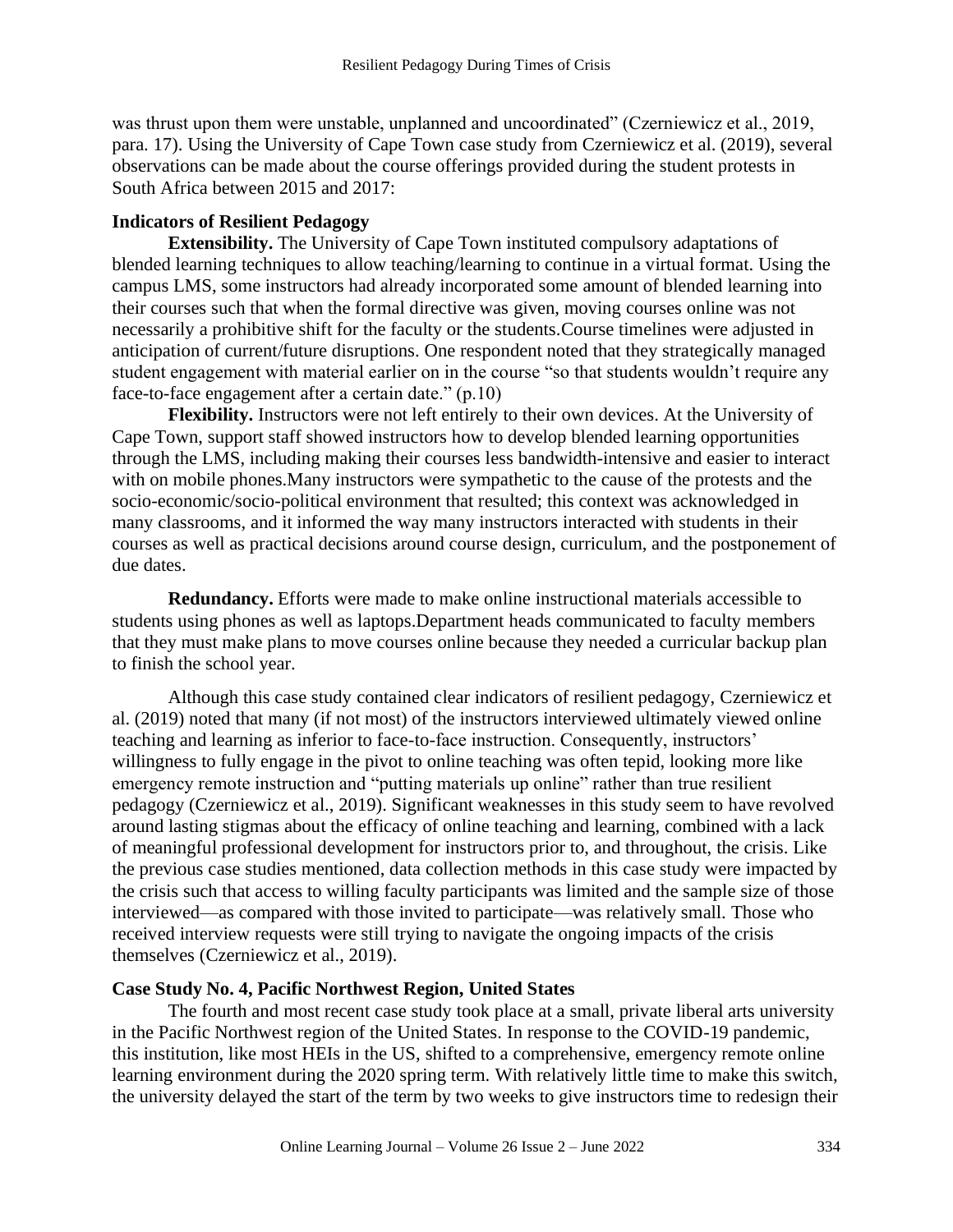was thrust upon them were unstable, unplanned and uncoordinated" (Czerniewicz et al., 2019, para. 17). Using the University of Cape Town case study from Czerniewicz et al. (2019), several observations can be made about the course offerings provided during the student protests in South Africa between 2015 and 2017:

#### **Indicators of Resilient Pedagogy**

**Extensibility.** The University of Cape Town instituted compulsory adaptations of blended learning techniques to allow teaching/learning to continue in a virtual format. Using the campus LMS, some instructors had already incorporated some amount of blended learning into their courses such that when the formal directive was given, moving courses online was not necessarily a prohibitive shift for the faculty or the students.Course timelines were adjusted in anticipation of current/future disruptions. One respondent noted that they strategically managed student engagement with material earlier on in the course "so that students wouldn't require any face-to-face engagement after a certain date." (p.10)

**Flexibility.** Instructors were not left entirely to their own devices. At the University of Cape Town, support staff showed instructors how to develop blended learning opportunities through the LMS, including making their courses less bandwidth-intensive and easier to interact with on mobile phones.Many instructors were sympathetic to the cause of the protests and the socio-economic/socio-political environment that resulted; this context was acknowledged in many classrooms, and it informed the way many instructors interacted with students in their courses as well as practical decisions around course design, curriculum, and the postponement of due dates.

**Redundancy.** Efforts were made to make online instructional materials accessible to students using phones as well as laptops.Department heads communicated to faculty members that they must make plans to move courses online because they needed a curricular backup plan to finish the school year.

Although this case study contained clear indicators of resilient pedagogy, Czerniewicz et al. (2019) noted that many (if not most) of the instructors interviewed ultimately viewed online teaching and learning as inferior to face-to-face instruction. Consequently, instructors' willingness to fully engage in the pivot to online teaching was often tepid, looking more like emergency remote instruction and "putting materials up online" rather than true resilient pedagogy (Czerniewicz et al., 2019). Significant weaknesses in this study seem to have revolved around lasting stigmas about the efficacy of online teaching and learning, combined with a lack of meaningful professional development for instructors prior to, and throughout, the crisis. Like the previous case studies mentioned, data collection methods in this case study were impacted by the crisis such that access to willing faculty participants was limited and the sample size of those interviewed—as compared with those invited to participate—was relatively small. Those who received interview requests were still trying to navigate the ongoing impacts of the crisis themselves (Czerniewicz et al., 2019).

#### **Case Study No. 4, Pacific Northwest Region, United States**

The fourth and most recent case study took place at a small, private liberal arts university in the Pacific Northwest region of the United States. In response to the COVID-19 pandemic, this institution, like most HEIs in the US, shifted to a comprehensive, emergency remote online learning environment during the 2020 spring term. With relatively little time to make this switch, the university delayed the start of the term by two weeks to give instructors time to redesign their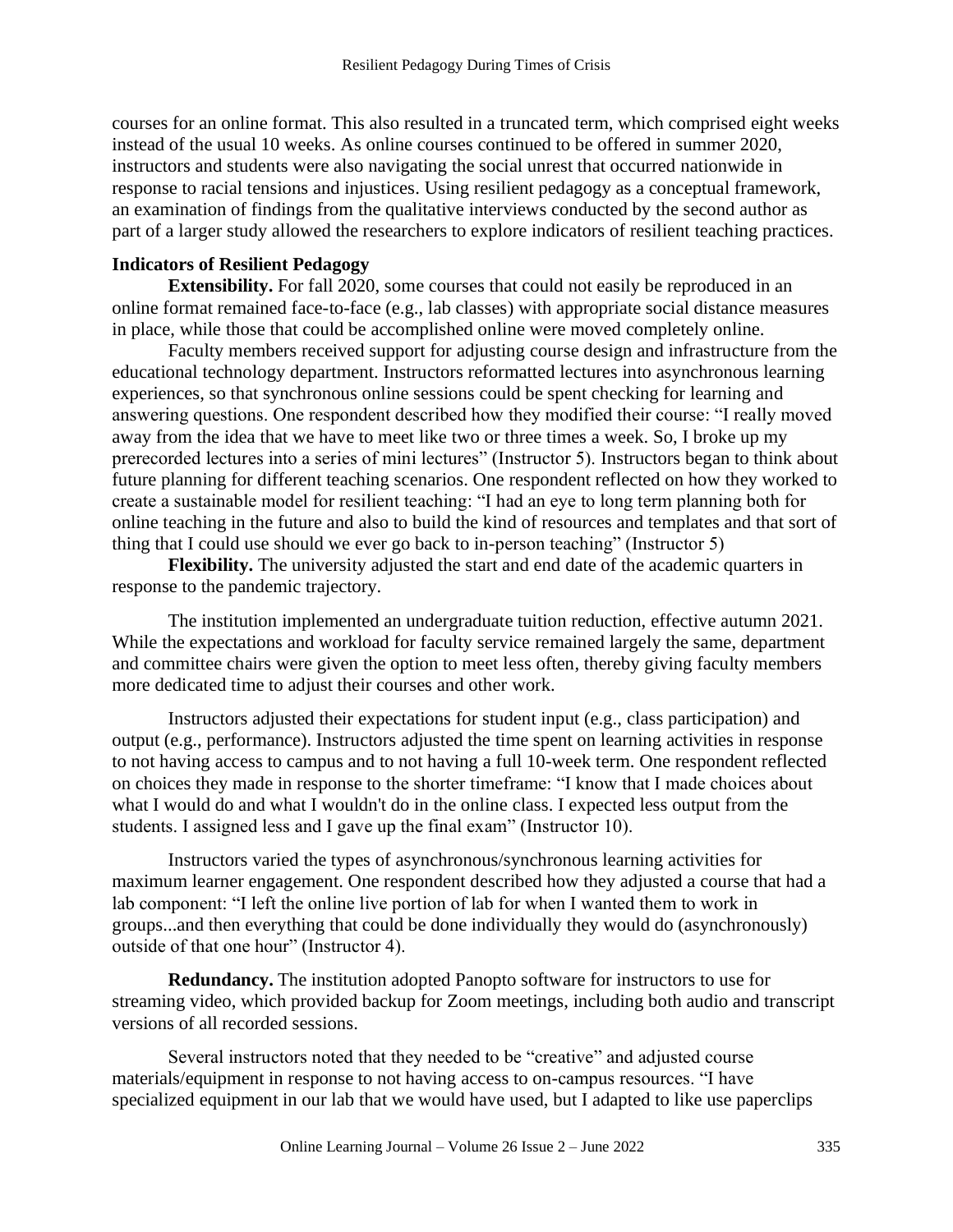courses for an online format. This also resulted in a truncated term, which comprised eight weeks instead of the usual 10 weeks. As online courses continued to be offered in summer 2020, instructors and students were also navigating the social unrest that occurred nationwide in response to racial tensions and injustices. Using resilient pedagogy as a conceptual framework, an examination of findings from the qualitative interviews conducted by the second author as part of a larger study allowed the researchers to explore indicators of resilient teaching practices.

#### **Indicators of Resilient Pedagogy**

**Extensibility.** For fall 2020, some courses that could not easily be reproduced in an online format remained face-to-face (e.g., lab classes) with appropriate social distance measures in place, while those that could be accomplished online were moved completely online.

Faculty members received support for adjusting course design and infrastructure from the educational technology department. Instructors reformatted lectures into asynchronous learning experiences, so that synchronous online sessions could be spent checking for learning and answering questions. One respondent described how they modified their course: "I really moved away from the idea that we have to meet like two or three times a week. So, I broke up my prerecorded lectures into a series of mini lectures" (Instructor 5). Instructors began to think about future planning for different teaching scenarios. One respondent reflected on how they worked to create a sustainable model for resilient teaching: "I had an eye to long term planning both for online teaching in the future and also to build the kind of resources and templates and that sort of thing that I could use should we ever go back to in-person teaching" (Instructor 5)

**Flexibility.** The university adjusted the start and end date of the academic quarters in response to the pandemic trajectory.

The institution implemented an undergraduate tuition reduction, effective autumn 2021. While the expectations and workload for faculty service remained largely the same, department and committee chairs were given the option to meet less often, thereby giving faculty members more dedicated time to adjust their courses and other work.

Instructors adjusted their expectations for student input (e.g., class participation) and output (e.g., performance). Instructors adjusted the time spent on learning activities in response to not having access to campus and to not having a full 10-week term. One respondent reflected on choices they made in response to the shorter timeframe: "I know that I made choices about what I would do and what I wouldn't do in the online class. I expected less output from the students. I assigned less and I gave up the final exam" (Instructor 10).

Instructors varied the types of asynchronous/synchronous learning activities for maximum learner engagement. One respondent described how they adjusted a course that had a lab component: "I left the online live portion of lab for when I wanted them to work in groups...and then everything that could be done individually they would do (asynchronously) outside of that one hour" (Instructor 4).

**Redundancy.** The institution adopted Panopto software for instructors to use for streaming video, which provided backup for Zoom meetings, including both audio and transcript versions of all recorded sessions.

Several instructors noted that they needed to be "creative" and adjusted course materials/equipment in response to not having access to on-campus resources. "I have specialized equipment in our lab that we would have used, but I adapted to like use paperclips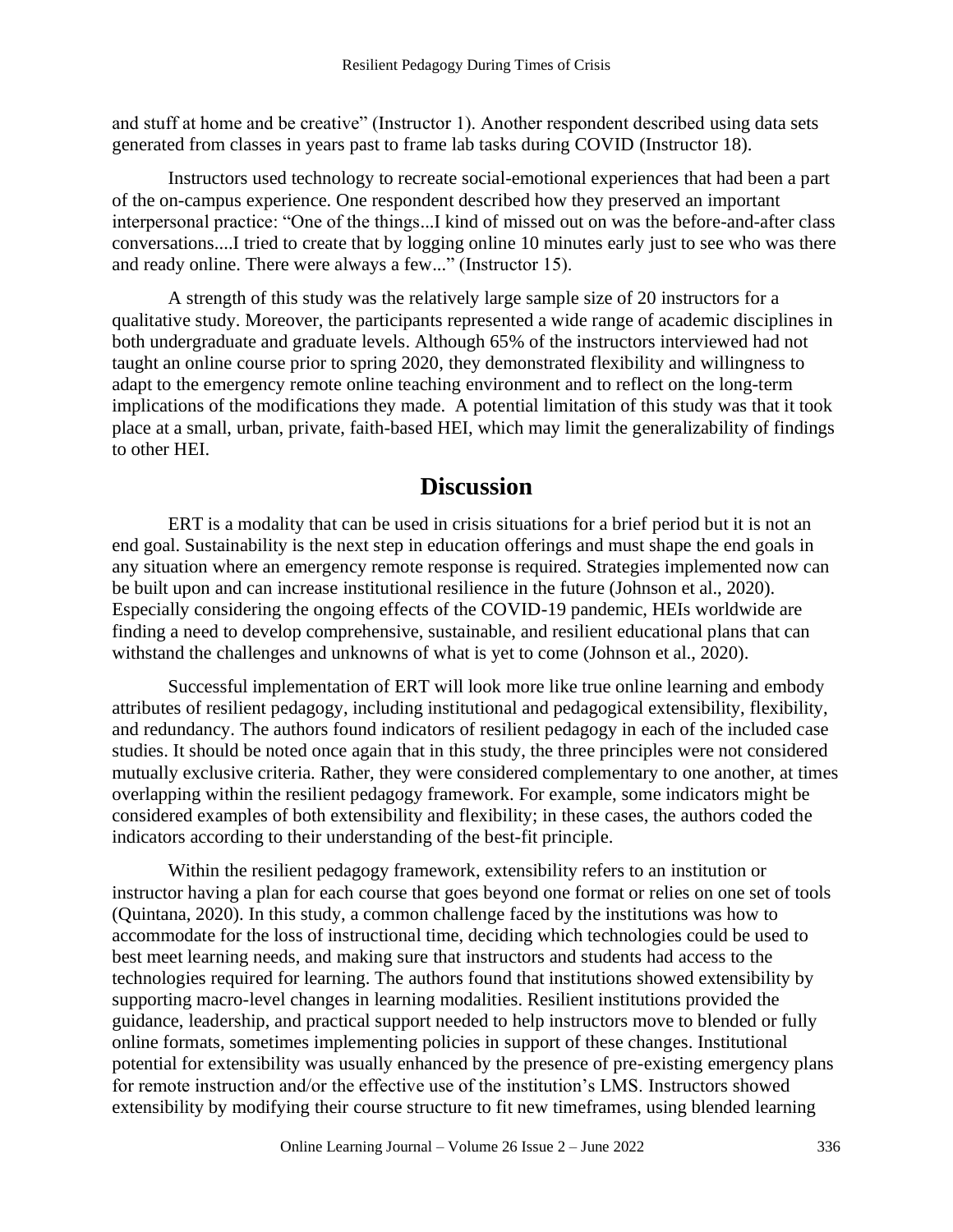and stuff at home and be creative" (Instructor 1). Another respondent described using data sets generated from classes in years past to frame lab tasks during COVID (Instructor 18).

Instructors used technology to recreate social-emotional experiences that had been a part of the on-campus experience. One respondent described how they preserved an important interpersonal practice: "One of the things...I kind of missed out on was the before-and-after class conversations....I tried to create that by logging online 10 minutes early just to see who was there and ready online. There were always a few..." (Instructor 15).

A strength of this study was the relatively large sample size of 20 instructors for a qualitative study. Moreover, the participants represented a wide range of academic disciplines in both undergraduate and graduate levels. Although 65% of the instructors interviewed had not taught an online course prior to spring 2020, they demonstrated flexibility and willingness to adapt to the emergency remote online teaching environment and to reflect on the long-term implications of the modifications they made. A potential limitation of this study was that it took place at a small, urban, private, faith-based HEI, which may limit the generalizability of findings to other HEI.

## **Discussion**

ERT is a modality that can be used in crisis situations for a brief period but it is not an end goal. Sustainability is the next step in education offerings and must shape the end goals in any situation where an emergency remote response is required. Strategies implemented now can be built upon and can increase institutional resilience in the future (Johnson et al., 2020). Especially considering the ongoing effects of the COVID-19 pandemic, HEIs worldwide are finding a need to develop comprehensive, sustainable, and resilient educational plans that can withstand the challenges and unknowns of what is yet to come (Johnson et al., 2020).

Successful implementation of ERT will look more like true online learning and embody attributes of resilient pedagogy, including institutional and pedagogical extensibility, flexibility, and redundancy. The authors found indicators of resilient pedagogy in each of the included case studies. It should be noted once again that in this study, the three principles were not considered mutually exclusive criteria. Rather, they were considered complementary to one another, at times overlapping within the resilient pedagogy framework. For example, some indicators might be considered examples of both extensibility and flexibility; in these cases, the authors coded the indicators according to their understanding of the best-fit principle.

Within the resilient pedagogy framework, extensibility refers to an institution or instructor having a plan for each course that goes beyond one format or relies on one set of tools (Quintana, 2020). In this study, a common challenge faced by the institutions was how to accommodate for the loss of instructional time, deciding which technologies could be used to best meet learning needs, and making sure that instructors and students had access to the technologies required for learning. The authors found that institutions showed extensibility by supporting macro-level changes in learning modalities. Resilient institutions provided the guidance, leadership, and practical support needed to help instructors move to blended or fully online formats, sometimes implementing policies in support of these changes. Institutional potential for extensibility was usually enhanced by the presence of pre-existing emergency plans for remote instruction and/or the effective use of the institution's LMS. Instructors showed extensibility by modifying their course structure to fit new timeframes, using blended learning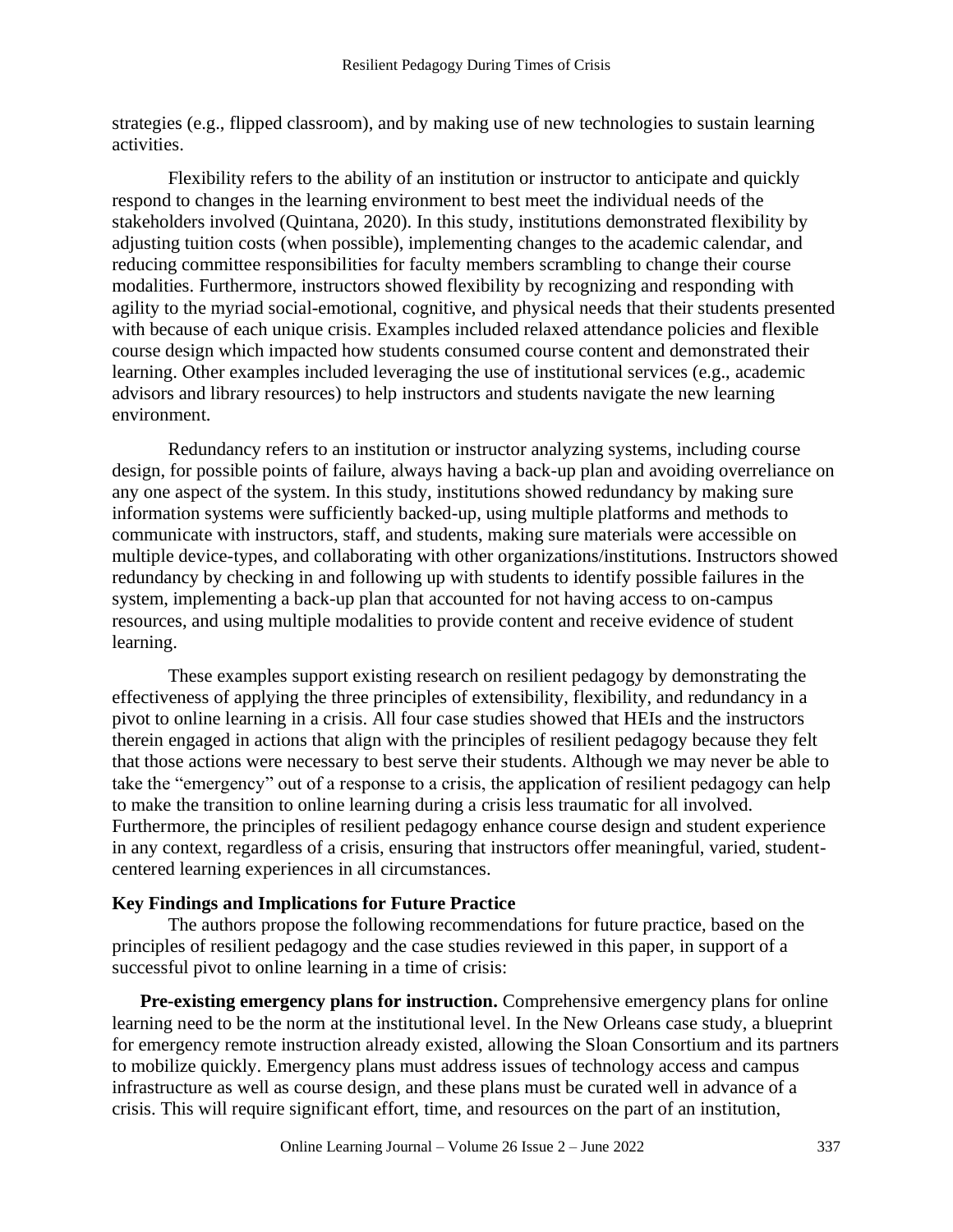strategies (e.g., flipped classroom), and by making use of new technologies to sustain learning activities.

Flexibility refers to the ability of an institution or instructor to anticipate and quickly respond to changes in the learning environment to best meet the individual needs of the stakeholders involved (Quintana, 2020). In this study, institutions demonstrated flexibility by adjusting tuition costs (when possible), implementing changes to the academic calendar, and reducing committee responsibilities for faculty members scrambling to change their course modalities. Furthermore, instructors showed flexibility by recognizing and responding with agility to the myriad social-emotional, cognitive, and physical needs that their students presented with because of each unique crisis. Examples included relaxed attendance policies and flexible course design which impacted how students consumed course content and demonstrated their learning. Other examples included leveraging the use of institutional services (e.g., academic advisors and library resources) to help instructors and students navigate the new learning environment.

Redundancy refers to an institution or instructor analyzing systems, including course design, for possible points of failure, always having a back-up plan and avoiding overreliance on any one aspect of the system. In this study, institutions showed redundancy by making sure information systems were sufficiently backed-up, using multiple platforms and methods to communicate with instructors, staff, and students, making sure materials were accessible on multiple device-types, and collaborating with other organizations/institutions. Instructors showed redundancy by checking in and following up with students to identify possible failures in the system, implementing a back-up plan that accounted for not having access to on-campus resources, and using multiple modalities to provide content and receive evidence of student learning.

These examples support existing research on resilient pedagogy by demonstrating the effectiveness of applying the three principles of extensibility, flexibility, and redundancy in a pivot to online learning in a crisis. All four case studies showed that HEIs and the instructors therein engaged in actions that align with the principles of resilient pedagogy because they felt that those actions were necessary to best serve their students. Although we may never be able to take the "emergency" out of a response to a crisis, the application of resilient pedagogy can help to make the transition to online learning during a crisis less traumatic for all involved. Furthermore, the principles of resilient pedagogy enhance course design and student experience in any context, regardless of a crisis, ensuring that instructors offer meaningful, varied, studentcentered learning experiences in all circumstances.

#### **Key Findings and Implications for Future Practice**

The authors propose the following recommendations for future practice, based on the principles of resilient pedagogy and the case studies reviewed in this paper, in support of a successful pivot to online learning in a time of crisis:

**Pre-existing emergency plans for instruction.** Comprehensive emergency plans for online learning need to be the norm at the institutional level. In the New Orleans case study, a blueprint for emergency remote instruction already existed, allowing the Sloan Consortium and its partners to mobilize quickly. Emergency plans must address issues of technology access and campus infrastructure as well as course design, and these plans must be curated well in advance of a crisis. This will require significant effort, time, and resources on the part of an institution,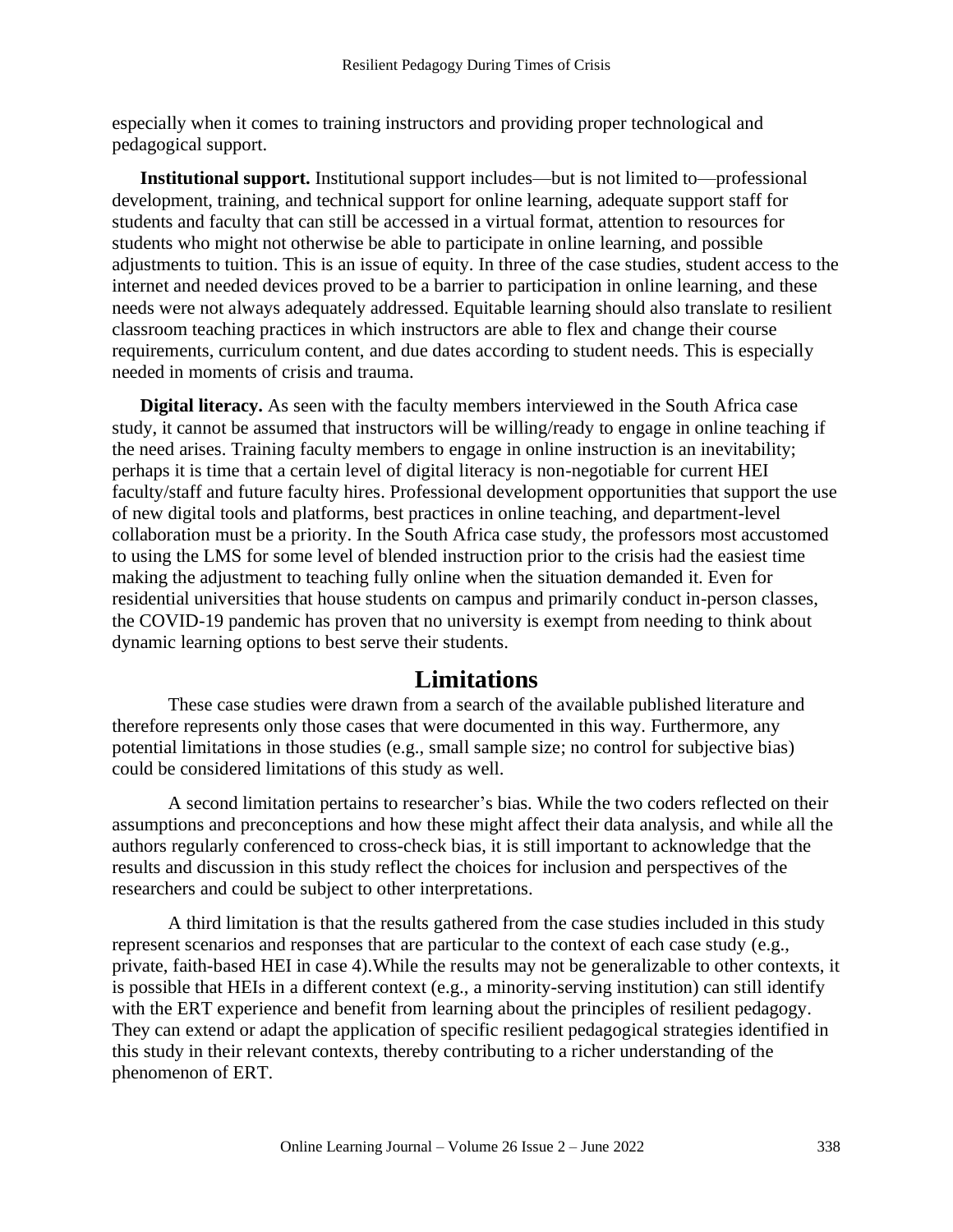especially when it comes to training instructors and providing proper technological and pedagogical support.

**Institutional support.** Institutional support includes—but is not limited to—professional development, training, and technical support for online learning, adequate support staff for students and faculty that can still be accessed in a virtual format, attention to resources for students who might not otherwise be able to participate in online learning, and possible adjustments to tuition. This is an issue of equity. In three of the case studies, student access to the internet and needed devices proved to be a barrier to participation in online learning, and these needs were not always adequately addressed. Equitable learning should also translate to resilient classroom teaching practices in which instructors are able to flex and change their course requirements, curriculum content, and due dates according to student needs. This is especially needed in moments of crisis and trauma.

**Digital literacy.** As seen with the faculty members interviewed in the South Africa case study, it cannot be assumed that instructors will be willing/ready to engage in online teaching if the need arises. Training faculty members to engage in online instruction is an inevitability; perhaps it is time that a certain level of digital literacy is non-negotiable for current HEI faculty/staff and future faculty hires. Professional development opportunities that support the use of new digital tools and platforms, best practices in online teaching, and department-level collaboration must be a priority. In the South Africa case study, the professors most accustomed to using the LMS for some level of blended instruction prior to the crisis had the easiest time making the adjustment to teaching fully online when the situation demanded it. Even for residential universities that house students on campus and primarily conduct in-person classes, the COVID-19 pandemic has proven that no university is exempt from needing to think about dynamic learning options to best serve their students.

## **Limitations**

These case studies were drawn from a search of the available published literature and therefore represents only those cases that were documented in this way. Furthermore, any potential limitations in those studies (e.g., small sample size; no control for subjective bias) could be considered limitations of this study as well.

A second limitation pertains to researcher's bias. While the two coders reflected on their assumptions and preconceptions and how these might affect their data analysis, and while all the authors regularly conferenced to cross-check bias, it is still important to acknowledge that the results and discussion in this study reflect the choices for inclusion and perspectives of the researchers and could be subject to other interpretations.

A third limitation is that the results gathered from the case studies included in this study represent scenarios and responses that are particular to the context of each case study (e.g., private, faith-based HEI in case 4).While the results may not be generalizable to other contexts, it is possible that HEIs in a different context (e.g., a minority-serving institution) can still identify with the ERT experience and benefit from learning about the principles of resilient pedagogy. They can extend or adapt the application of specific resilient pedagogical strategies identified in this study in their relevant contexts, thereby contributing to a richer understanding of the phenomenon of ERT.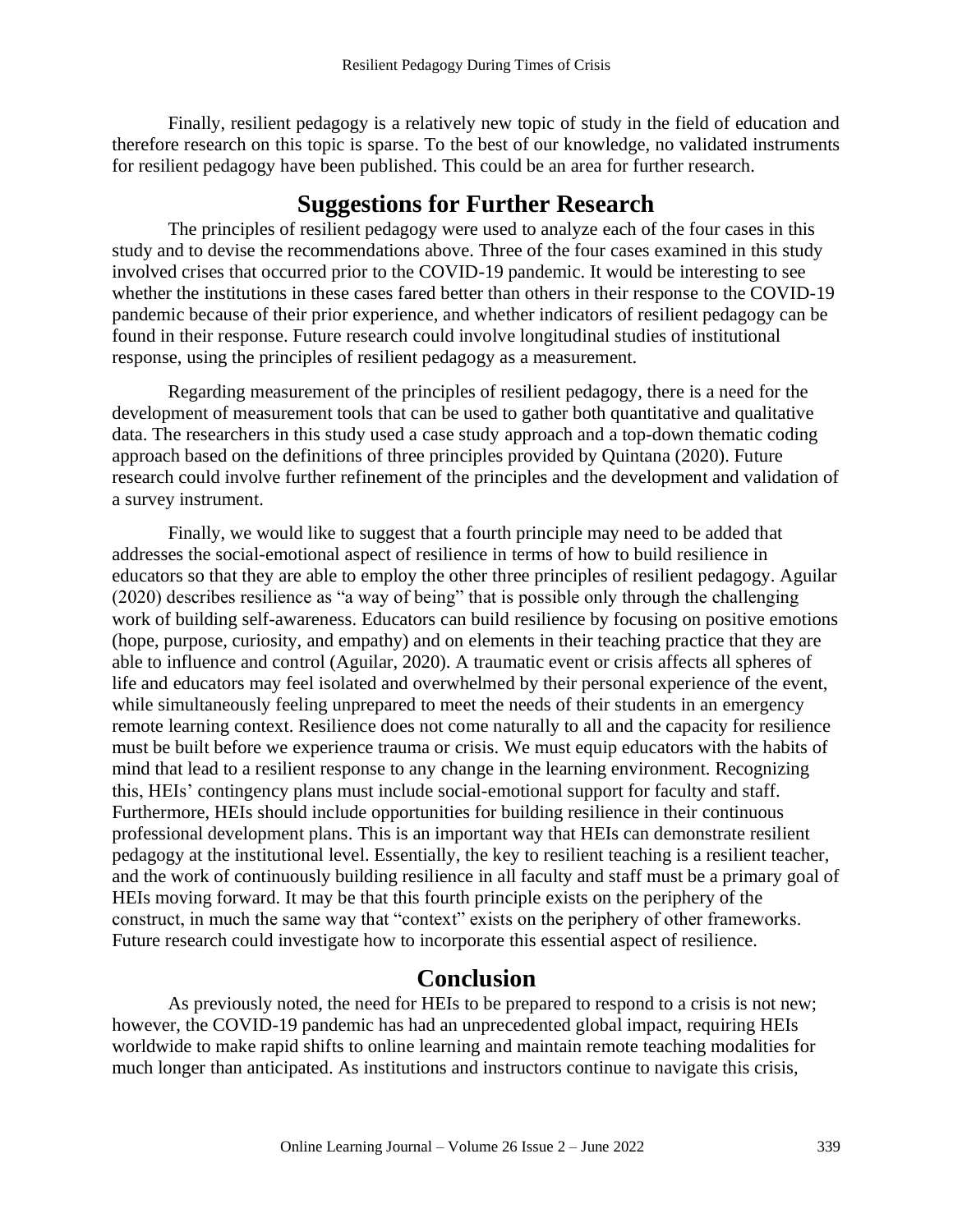Finally, resilient pedagogy is a relatively new topic of study in the field of education and therefore research on this topic is sparse. To the best of our knowledge, no validated instruments for resilient pedagogy have been published. This could be an area for further research.

### **Suggestions for Further Research**

The principles of resilient pedagogy were used to analyze each of the four cases in this study and to devise the recommendations above. Three of the four cases examined in this study involved crises that occurred prior to the COVID-19 pandemic. It would be interesting to see whether the institutions in these cases fared better than others in their response to the COVID-19 pandemic because of their prior experience, and whether indicators of resilient pedagogy can be found in their response. Future research could involve longitudinal studies of institutional response, using the principles of resilient pedagogy as a measurement.

Regarding measurement of the principles of resilient pedagogy, there is a need for the development of measurement tools that can be used to gather both quantitative and qualitative data. The researchers in this study used a case study approach and a top-down thematic coding approach based on the definitions of three principles provided by Quintana (2020). Future research could involve further refinement of the principles and the development and validation of a survey instrument.

Finally, we would like to suggest that a fourth principle may need to be added that addresses the social-emotional aspect of resilience in terms of how to build resilience in educators so that they are able to employ the other three principles of resilient pedagogy. Aguilar (2020) describes resilience as "a way of being" that is possible only through the challenging work of building self-awareness. Educators can build resilience by focusing on positive emotions (hope, purpose, curiosity, and empathy) and on elements in their teaching practice that they are able to influence and control (Aguilar, 2020). A traumatic event or crisis affects all spheres of life and educators may feel isolated and overwhelmed by their personal experience of the event, while simultaneously feeling unprepared to meet the needs of their students in an emergency remote learning context. Resilience does not come naturally to all and the capacity for resilience must be built before we experience trauma or crisis. We must equip educators with the habits of mind that lead to a resilient response to any change in the learning environment. Recognizing this, HEIs' contingency plans must include social-emotional support for faculty and staff. Furthermore, HEIs should include opportunities for building resilience in their continuous professional development plans. This is an important way that HEIs can demonstrate resilient pedagogy at the institutional level. Essentially, the key to resilient teaching is a resilient teacher, and the work of continuously building resilience in all faculty and staff must be a primary goal of HEIs moving forward. It may be that this fourth principle exists on the periphery of the construct, in much the same way that "context" exists on the periphery of other frameworks. Future research could investigate how to incorporate this essential aspect of resilience.

## **Conclusion**

As previously noted, the need for HEIs to be prepared to respond to a crisis is not new; however, the COVID-19 pandemic has had an unprecedented global impact, requiring HEIs worldwide to make rapid shifts to online learning and maintain remote teaching modalities for much longer than anticipated. As institutions and instructors continue to navigate this crisis,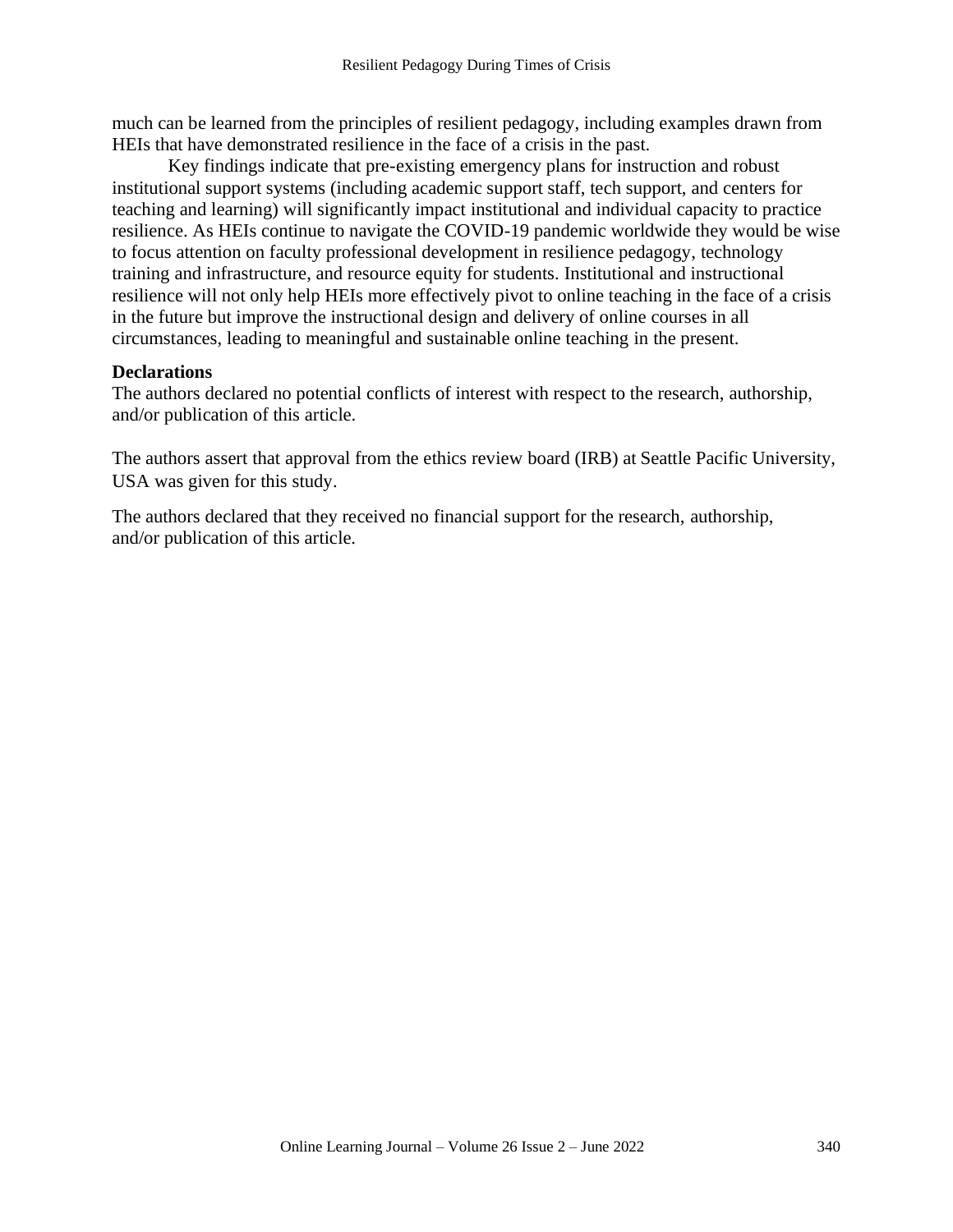much can be learned from the principles of resilient pedagogy, including examples drawn from HEIs that have demonstrated resilience in the face of a crisis in the past.

Key findings indicate that pre-existing emergency plans for instruction and robust institutional support systems (including academic support staff, tech support, and centers for teaching and learning) will significantly impact institutional and individual capacity to practice resilience. As HEIs continue to navigate the COVID-19 pandemic worldwide they would be wise to focus attention on faculty professional development in resilience pedagogy, technology training and infrastructure, and resource equity for students. Institutional and instructional resilience will not only help HEIs more effectively pivot to online teaching in the face of a crisis in the future but improve the instructional design and delivery of online courses in all circumstances, leading to meaningful and sustainable online teaching in the present.

#### **Declarations**

The authors declared no potential conflicts of interest with respect to the research, authorship, and/or publication of this article.

The authors assert that approval from the ethics review board (IRB) at Seattle Pacific University, USA was given for this study.

The authors declared that they received no financial support for the research, authorship, and/or publication of this article.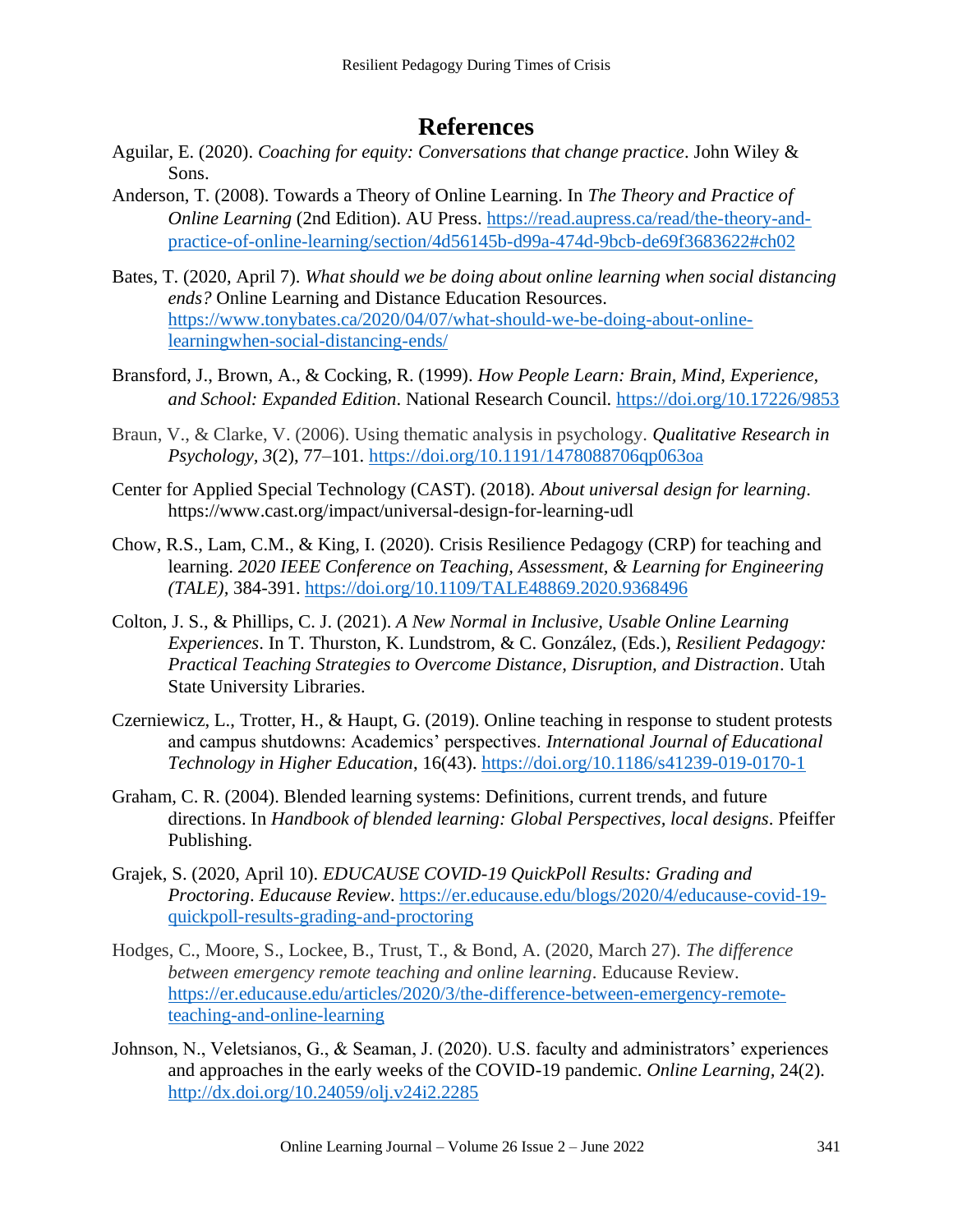# **References**

- Aguilar, E. (2020). *Coaching for equity: Conversations that change practice*. John Wiley & Sons.
- Anderson, T. (2008). Towards a Theory of Online Learning. In *The Theory and Practice of Online Learning* (2nd Edition). AU Press. [https://read.aupress.ca/read/the-theory-and](https://read.aupress.ca/read/the-theory-and-practice-of-online-learning/section/4d56145b-d99a-474d-9bcb-de69f3683622#ch02)[practice-of-online-learning/section/4d56145b-d99a-474d-9bcb-de69f3683622#ch02](https://read.aupress.ca/read/the-theory-and-practice-of-online-learning/section/4d56145b-d99a-474d-9bcb-de69f3683622#ch02)
- Bates, T. (2020, April 7). *What should we be doing about online learning when social distancing ends?* Online Learning and Distance Education Resources. [https://www.tonybates.ca/2020/04/07/what-should-we-be-doing-about-online](https://www.tonybates.ca/2020/04/07/what-should-we-be-doing-about-online-learningwhen-social-distancing-ends/)[learningwhen-social-distancing-ends/](https://www.tonybates.ca/2020/04/07/what-should-we-be-doing-about-online-learningwhen-social-distancing-ends/)
- Bransford, J., Brown, A., & Cocking, R. (1999). *How People Learn: Brain, Mind, Experience, and School: Expanded Edition*. National Research Council.<https://doi.org/10.17226/9853>
- Braun, V., & Clarke, V. (2006). Using thematic analysis in psychology. *Qualitative Research in Psychology, 3*(2), 77–101.<https://doi.org/10.1191/1478088706qp063oa>
- Center for Applied Special Technology (CAST). (2018). *About universal design for learning*. <https://www.cast.org/impact/universal-design-for-learning-udl>
- Chow, R.S., Lam, C.M., & King, I. (2020). Crisis Resilience Pedagogy (CRP) for teaching and learning. *2020 IEEE Conference on Teaching, Assessment, & Learning for Engineering (TALE),* 384-391. <https://doi.org/10.1109/TALE48869.2020.9368496>
- Colton, J. S., & Phillips, C. J. (2021). *A New Normal in Inclusive, Usable Online Learning Experiences*. In T. Thurston, K. Lundstrom, & C. González, (Eds.), *Resilient Pedagogy: Practical Teaching Strategies to Overcome Distance, Disruption, and Distraction*. Utah State University Libraries.
- Czerniewicz, L., Trotter, H., & Haupt, G. (2019). Online teaching in response to student protests and campus shutdowns: Academics' perspectives. *International Journal of Educational Technology in Higher Education*, 16(43). <https://doi.org/10.1186/s41239-019-0170-1>
- Graham, C. R. (2004). Blended learning systems: Definitions, current trends, and future directions. In *Handbook of blended learning: Global Perspectives, local designs*. Pfeiffer Publishing.
- Grajek, S. (2020, April 10). *EDUCAUSE COVID-19 QuickPoll Results: Grading and Proctoring*. *Educause Review*. [https://er.educause.edu/blogs/2020/4/educause-covid-19](https://er.educause.edu/blogs/2020/4/educause-covid-19-quickpoll-results-grading-and-proctoring) [quickpoll-results-grading-and-proctoring](https://er.educause.edu/blogs/2020/4/educause-covid-19-quickpoll-results-grading-and-proctoring)
- Hodges, C., Moore, S., Lockee, B., Trust, T., & Bond, A. (2020, March 27). *The difference between emergency remote teaching and online learning*. Educause Review. [https://er.educause.edu/articles/2020/3/the-difference-between-emergency-remote](https://er.educause.edu/articles/2020/3/the-difference-between-emergency-remote-teaching-and-online-learning)[teaching-and-online-learning](https://er.educause.edu/articles/2020/3/the-difference-between-emergency-remote-teaching-and-online-learning)
- Johnson, N., Veletsianos, G., & Seaman, J. (2020). U.S. faculty and administrators' experiences and approaches in the early weeks of the COVID-19 pandemic. *Online Learning,* 24(2). <http://dx.doi.org/10.24059/olj.v24i2.2285>